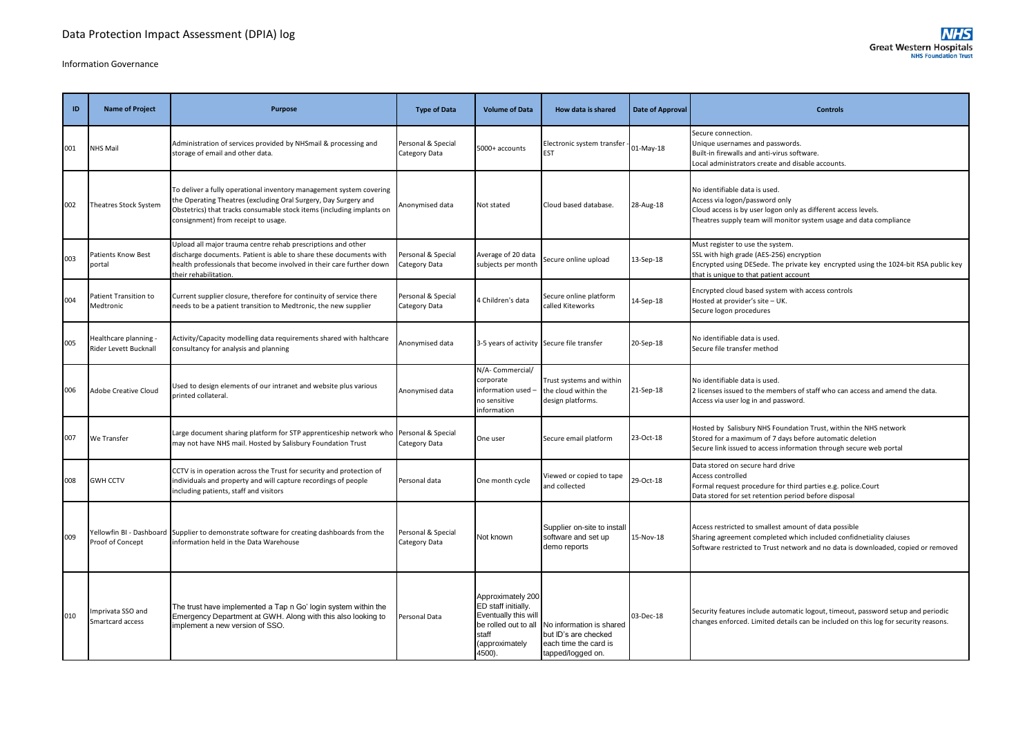# Information Governance

| <b>ID</b> | <b>Name of Project</b>                       | <b>Purpose</b>                                                                                                                                                                                                                                         | <b>Type of Data</b>                 | <b>Volume of Data</b>                                                           | How data is shared                                                    | Date of Approval | <b>Controls</b>                                                                                                                                                                                               |
|-----------|----------------------------------------------|--------------------------------------------------------------------------------------------------------------------------------------------------------------------------------------------------------------------------------------------------------|-------------------------------------|---------------------------------------------------------------------------------|-----------------------------------------------------------------------|------------------|---------------------------------------------------------------------------------------------------------------------------------------------------------------------------------------------------------------|
| 001       | NHS Mail                                     | Administration of services provided by NHSmail & processing and<br>storage of email and other data.                                                                                                                                                    | Personal & Special<br>Category Data | 5000+ accounts                                                                  | Electronic system transfer<br><b>EST</b>                              | 01-May-18        | Secure connection.<br>Unique usernames and passwords.<br>Built-in firewalls and anti-virus software.<br>Local administrators create and disable accounts.                                                     |
| 002       | Theatres Stock System                        | To deliver a fully operational inventory management system covering<br>the Operating Theatres (excluding Oral Surgery, Day Surgery and<br>Obstetrics) that tracks consumable stock items (including implants on<br>consignment) from receipt to usage. | Anonymised data                     | Not stated                                                                      | Cloud based database.                                                 | 28-Aug-18        | No identifiable data is used.<br>Access via logon/password only<br>Cloud access is by user logon only as different access levels.<br>Theatres supply team will monitor system usage and data compliance       |
| 003       | Patients Know Best<br>portal                 | Upload all major trauma centre rehab prescriptions and other<br>discharge documents. Patient is able to share these documents with<br>health professionals that become involved in their care further down<br>heir rehabilitation.                     | Personal & Special<br>Category Data | Average of 20 data<br>subjects per month                                        | Secure online upload                                                  | 13-Sep-18        | Must register to use the system.<br>SSL with high grade (AES-256) encryption<br>Encrypted using DESede. The private key encrypted using the 1024-bit RSA public key<br>that is unique to that patient account |
| 004       | Patient Transition to<br>Medtronic           | Current supplier closure, therefore for continuity of service there<br>needs to be a patient transition to Medtronic, the new supplier                                                                                                                 | Personal & Special<br>Category Data | 4 Children's data                                                               | Secure online platform<br>called Kiteworks                            | 14-Sep-18        | Encrypted cloud based system with access controls<br>Hosted at provider's site - UK.<br>Secure logon procedures                                                                                               |
| 005       | Healthcare planning<br>Rider Levett Bucknall | Activity/Capacity modelling data requirements shared with halthcare<br>consultancy for analysis and planning                                                                                                                                           | Anonymised data                     | 3-5 years of activity Secure file transfer                                      |                                                                       | 20-Sep-18        | No identifiable data is used.<br>Secure file transfer method                                                                                                                                                  |
| 006       | Adobe Creative Cloud                         | Used to design elements of our intranet and website plus various<br>printed collateral.                                                                                                                                                                | Anonymised data                     | N/A-Commercial/<br>corporate<br>information used<br>no sensitive<br>information | Trust systems and within<br>the cloud within the<br>design platforms. | 21-Sep-18        | No identifiable data is used.<br>2 licenses issued to the members of staff who can access and amend the data.<br>Access via user log in and password.                                                         |
| 007       | We Transfer                                  | Large document sharing platform for STP apprenticeship network who<br>may not have NHS mail. Hosted by Salisbury Foundation Trust                                                                                                                      | Personal & Special<br>Category Data | One user                                                                        | Secure email platform                                                 | 23-Oct-18        | Hosted by Salisbury NHS Foundation Trust, within the NHS network<br>Stored for a maximum of 7 days before automatic deletion<br>Secure link issued to access information through secure web portal            |
| 008       | <b>GWH CCTV</b>                              | CCTV is in operation across the Trust for security and protection of<br>individuals and property and will capture recordings of people                                                                                                                 | Personal data                       | One month cycle                                                                 | Viewed or copied to tape<br>hataalloa hac                             | 29-Oct-18        | Data stored on secure hard drive<br>Access controlled<br>Eormal request procedure for third parties e.g. police Court                                                                                         |

Formal request procedure for third parties e.g. police.Court

|     |                                       | including patients, staff and visitors                                                                                                                            |                                     |                                                                                                              | Tanu concetteu                                                                                                      |           | <b>FULLILLE LEGGEST DI OCCULTE TOT THILD DATUES E.K. DOILE.COULD</b><br>Data stored for set retention period before disposal                                                                                      |
|-----|---------------------------------------|-------------------------------------------------------------------------------------------------------------------------------------------------------------------|-------------------------------------|--------------------------------------------------------------------------------------------------------------|---------------------------------------------------------------------------------------------------------------------|-----------|-------------------------------------------------------------------------------------------------------------------------------------------------------------------------------------------------------------------|
| 009 | Proof of Concept                      | Yellowfin BI - Dashboard Supplier to demonstrate software for creating dashboards from the<br>Information held in the Data Warehouse                              | Personal & Special<br>Category Data | Not known                                                                                                    | Supplier on-site to install<br>software and set up<br>demo reports                                                  | 15-Nov-18 | Access restricted to smallest amount of data possible<br>Sharing agreement completed which included confidnetiality claiuses<br>Software restricted to Trust network and no data is downloaded, copied or removed |
| 010 | Imprivata SSO and<br>Smartcard access | The trust have implemented a Tap n Go' login system within the<br>Emergency Department at GWH. Along with this also looking to<br>implement a new version of SSO. | Personal Data                       | Approximately 200<br><b>ED</b> staff initially.<br>Eventually this will<br>staff<br>(approximately<br>4500). | be rolled out to all No information is shared<br>but ID's are checked<br>each time the card is<br>tapped/logged on. | 03-Dec-18 | Security features include automatic logout, timeout, password setup and periodic<br>changes enforced. Limited details can be included on this log for security reasons.                                           |

and collected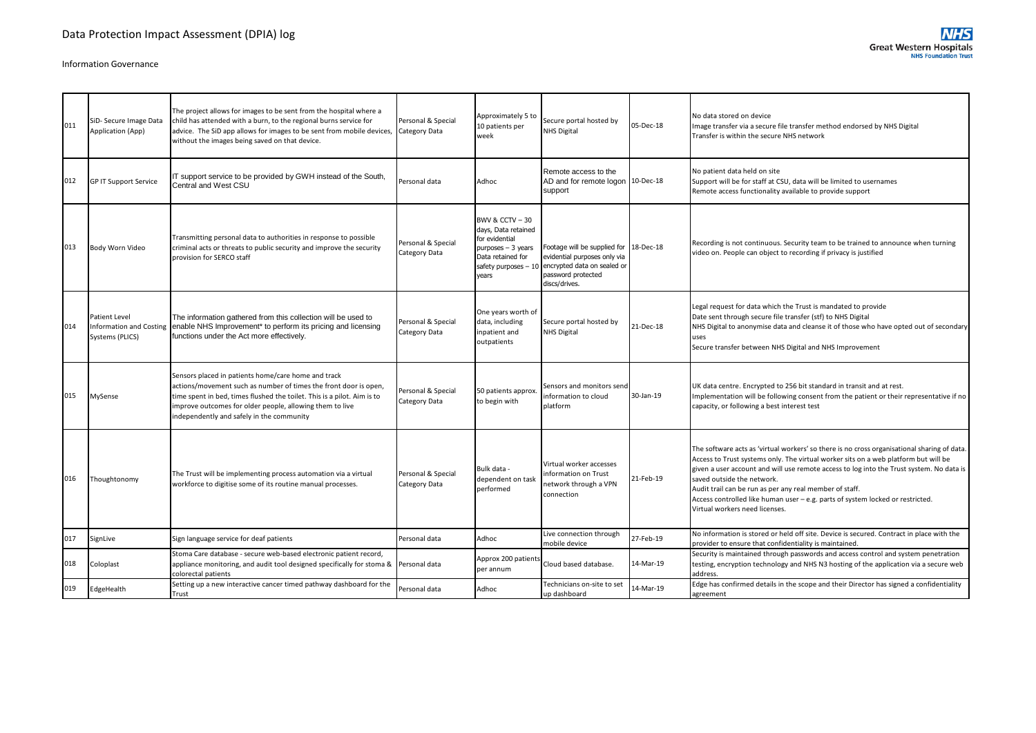| 011 | SiD- Secure Image Data<br>Application (App) | The project allows for images to be sent from the hospital where a<br>child has attended with a burn, to the regional burns service for<br>advice. The SiD app allows for images to be sent from mobile devices,<br>without the images being saved on that device.                                          | Personal & Special<br>Category Data | Approximately 5 to<br>10 patients per<br>week                                                                                                     | Secure portal hosted by<br><b>NHS Digital</b>                                                                                                | 05-Dec-18 | No data stored on device<br>Image transfer via a secure file transfer method endorsed by NHS Digital<br>Transfer is within the secure NHS network                                                                                                                                                                                                                                                                                                                                           |
|-----|---------------------------------------------|-------------------------------------------------------------------------------------------------------------------------------------------------------------------------------------------------------------------------------------------------------------------------------------------------------------|-------------------------------------|---------------------------------------------------------------------------------------------------------------------------------------------------|----------------------------------------------------------------------------------------------------------------------------------------------|-----------|---------------------------------------------------------------------------------------------------------------------------------------------------------------------------------------------------------------------------------------------------------------------------------------------------------------------------------------------------------------------------------------------------------------------------------------------------------------------------------------------|
| 012 | <b>GP IT Support Service</b>                | IT support service to be provided by GWH instead of the South,<br>Central and West CSU                                                                                                                                                                                                                      | Personal data                       | Adhoc                                                                                                                                             | Remote access to the<br>AD and for remote logon 10-Dec-18<br>support                                                                         |           | No patient data held on site<br>Support will be for staff at CSU, data will be limited to usernames<br>Remote access functionality available to provide support                                                                                                                                                                                                                                                                                                                             |
| 013 | Body Worn Video                             | Transmitting personal data to authorities in response to possible<br>criminal acts or threats to public security and improve the security<br>provision for SERCO staff                                                                                                                                      | Personal & Special<br>Category Data | <b>BWV &amp; CCTV - 30</b><br>days, Data retained<br>for evidential<br>$purposes - 3 years$<br>Data retained for<br>safety purposes - 10<br>vears | Footage will be supplied for 18-Dec-18<br>evidential purposes only via<br>encrypted data on sealed or<br>password protected<br>discs/drives. |           | Recording is not continuous. Security team to be trained to announce when turning<br>video on. People can object to recording if privacy is justified                                                                                                                                                                                                                                                                                                                                       |
| 014 | Patient Level<br>Systems (PLICS)            | The information gathered from this collection will be used to<br>Information and Costing enable NHS Improvement <sup>*</sup> to perform its pricing and licensing<br>functions under the Act more effectively.                                                                                              | Personal & Special<br>Category Data | One years worth of<br>data, including<br>inpatient and<br>outpatients                                                                             | Secure portal hosted by<br><b>NHS Digital</b>                                                                                                | 21-Dec-18 | Legal request for data which the Trust is mandated to provide<br>Date sent through secure file transfer (stf) to NHS Digital<br>NHS Digital to anonymise data and cleanse it of those who have opted out of secondary<br>uses<br>Secure transfer between NHS Digital and NHS Improvement                                                                                                                                                                                                    |
| 015 | MySense                                     | Sensors placed in patients home/care home and track<br>actions/movement such as number of times the front door is open,<br>time spent in bed, times flushed the toilet. This is a pilot. Aim is to<br>improve outcomes for older people, allowing them to live<br>independently and safely in the community | Personal & Special<br>Category Data | 50 patients approx<br>to begin with                                                                                                               | Sensors and monitors send<br>information to cloud<br>platform                                                                                | 30-Jan-19 | UK data centre. Encrypted to 256 bit standard in transit and at rest.<br>Implementation will be following consent from the patient or their representative if no<br>capacity, or following a best interest test                                                                                                                                                                                                                                                                             |
| 016 | Thoughtonomy                                | The Trust will be implementing process automation via a virtual<br>workforce to digitise some of its routine manual processes.                                                                                                                                                                              | Personal & Special<br>Category Data | Bulk data -<br>dependent on task<br>performed                                                                                                     | Virtual worker accesses<br>information on Trust<br>network through a VPN<br>connection                                                       | 21-Feb-19 | The software acts as 'virtual workers' so there is no cross organisational sharing of data.<br>Access to Trust systems only. The virtual worker sits on a web platform but will be<br>given a user account and will use remote access to log into the Trust system. No data is<br>saved outside the network.<br>Audit trail can be run as per any real member of staff.<br>Access controlled like human user - e.g. parts of system locked or restricted.<br>Virtual workers need licenses. |
| 017 | SignLive                                    | Sign language service for deaf patients                                                                                                                                                                                                                                                                     | Personal data                       | Adhoc                                                                                                                                             | Live connection through<br>mobile device                                                                                                     | 27-Feb-19 | No information is stored or held off site. Device is secured. Contract in place with the<br>provider to ensure that confidentiality is maintained.                                                                                                                                                                                                                                                                                                                                          |
| 018 | Coloplast                                   | Stoma Care database - secure web-based electronic patient record,<br>appliance monitoring, and audit tool designed specifically for stoma & Personal data<br>colorectal patients                                                                                                                            |                                     | Approx 200 patients<br>per annum                                                                                                                  | Cloud based database.                                                                                                                        | 14-Mar-19 | Security is maintained through passwords and access control and system penetration<br>testing, encryption technology and NHS N3 hosting of the application via a secure web<br>address                                                                                                                                                                                                                                                                                                      |
| 019 | EdgeHealth                                  | Setting up a new interactive cancer timed pathway dashboard for the<br>Trust                                                                                                                                                                                                                                | Personal data                       | Adhoc                                                                                                                                             | Technicians on-site to set<br>up dashboard                                                                                                   | 14-Mar-19 | Edge has confirmed details in the scope and their Director has signed a confidentiality<br>agreement                                                                                                                                                                                                                                                                                                                                                                                        |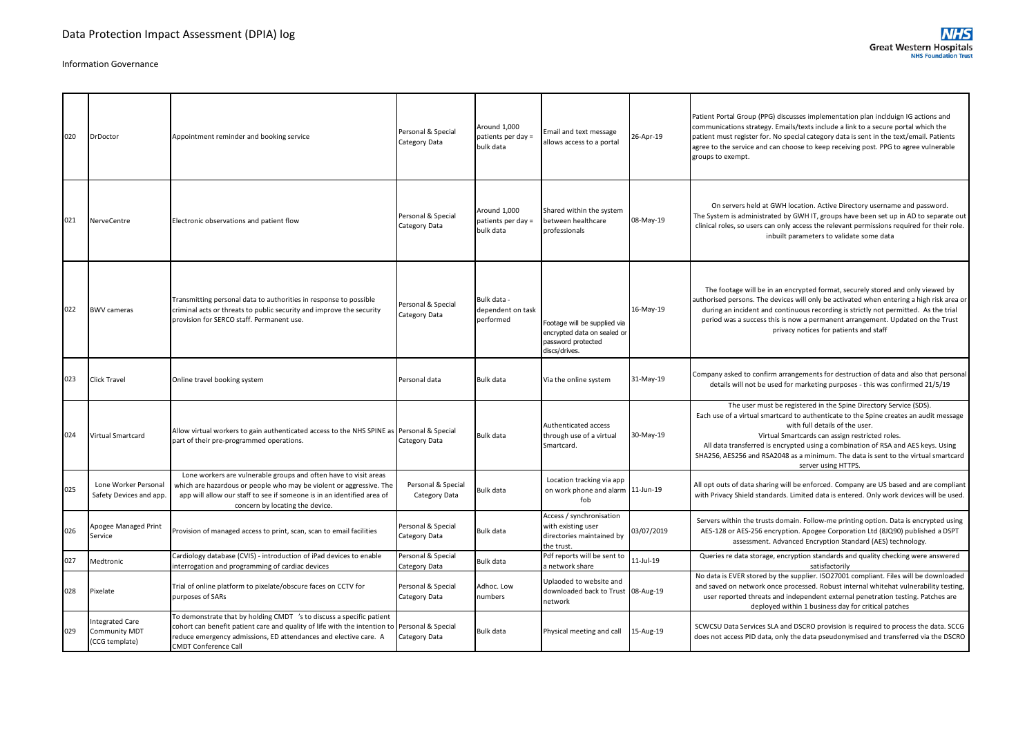| 020 | <b>DrDoctor</b>                                    | Appointment reminder and booking service                                                                                                                                                                                                                                | Personal & Special<br>Category Data | Around 1.000<br>patients per day =<br>bulk data | Email and text message<br>allows access to a portal                                                | 26-Apr-19  | Patient Portal Group (PPG) discusses implementation plan inclduign IG actions and<br>communications strategy. Emails/texts include a link to a secure portal which the<br>patient must register for. No special category data is sent in the text/email. Patients<br>agree to the service and can choose to keep receiving post. PPG to agree vulnerable<br>groups to exempt.                                                                    |
|-----|----------------------------------------------------|-------------------------------------------------------------------------------------------------------------------------------------------------------------------------------------------------------------------------------------------------------------------------|-------------------------------------|-------------------------------------------------|----------------------------------------------------------------------------------------------------|------------|--------------------------------------------------------------------------------------------------------------------------------------------------------------------------------------------------------------------------------------------------------------------------------------------------------------------------------------------------------------------------------------------------------------------------------------------------|
| 021 | NerveCentre                                        | Electronic observations and patient flow                                                                                                                                                                                                                                | Personal & Special<br>Category Data | Around 1,000<br>patients per day =<br>bulk data | Shared within the system<br>between healthcare<br>professionals                                    | 08-May-19  | On servers held at GWH location. Active Directory username and password.<br>The System is administrated by GWH IT, groups have been set up in AD to separate out<br>clinical roles, so users can only access the relevant permissions required for their role.<br>inbuilt parameters to validate some data                                                                                                                                       |
| 022 | <b>BWV cameras</b>                                 | Transmitting personal data to authorities in response to possible<br>criminal acts or threats to public security and improve the security<br>provision for SERCO staff. Permanent use.                                                                                  | Personal & Special<br>Category Data | Bulk data -<br>dependent on task<br>performed   | Footage will be supplied via<br>encrypted data on sealed or<br>password protected<br>discs/drives. | 16-May-19  | The footage will be in an encrypted format, securely stored and only viewed by<br>authorised persons. The devices will only be activated when entering a high risk area or<br>during an incident and continuous recording is strictly not permitted. As the trial<br>period was a success this is now a permanent arrangement. Updated on the Trust<br>privacy notices for patients and staff                                                    |
| 023 | <b>Click Travel</b>                                | Online travel booking system                                                                                                                                                                                                                                            | Personal data                       | Bulk data                                       | Via the online system                                                                              | 31-May-19  | Company asked to confirm arrangements for destruction of data and also that personal<br>details will not be used for marketing purposes - this was confirmed 21/5/19                                                                                                                                                                                                                                                                             |
| 024 | Virtual Smartcard                                  | Allow virtual workers to gain authenticated access to the NHS SPINE as Personal & Special<br>part of their pre-programmed operations.                                                                                                                                   | Category Data                       | Bulk data                                       | Authenticated access<br>through use of a virtual<br>Smartcard.                                     | 30-May-19  | The user must be registered in the Spine Directory Service (SDS).<br>Each use of a virtual smartcard to authenticate to the Spine creates an audit message<br>with full details of the user.<br>Virtual Smartcards can assign restricted roles.<br>All data transferred is encrypted using a combination of RSA and AES keys. Using<br>SHA256, AES256 and RSA2048 as a minimum. The data is sent to the virtual smartcard<br>server using HTTPS. |
| 025 | Lone Worker Personal<br>Safety Devices and app.    | Lone workers are vulnerable groups and often have to visit areas<br>which are hazardous or people who may be violent or aggressive. The<br>app will allow our staff to see if someone is in an identified area of<br>concern by locating the device.                    | Personal & Special<br>Category Data | Bulk data                                       | Location tracking via app<br>on work phone and alarm 11-Jun-19<br>fob                              |            | All opt outs of data sharing will be enforced. Company are US based and are compliant<br>with Privacy Shield standards. Limited data is entered. Only work devices will be used.                                                                                                                                                                                                                                                                 |
| 026 | Apogee Managed Print<br>Service                    | Provision of managed access to print, scan, scan to email facilities                                                                                                                                                                                                    | Personal & Special<br>Category Data | Bulk data                                       | Access / synchronisation<br>with existing user<br>directories maintained by<br>the trust.          | 03/07/2019 | Servers within the trusts domain. Follow-me printing option. Data is encrypted using<br>AES-128 or AES-256 encryption. Apogee Corporation Ltd (8JQ90) published a DSPT<br>assessment. Advanced Encryption Standard (AES) technology.                                                                                                                                                                                                             |
| 027 | Medtronic                                          | Cardiology database (CVIS) - introduction of iPad devices to enable<br>nterrogation and programming of cardiac devices                                                                                                                                                  | Personal & Special<br>Category Data | Bulk data                                       | Pdf reports will be sent to<br>a network share                                                     | 11-Jul-19  | Queries re data storage, encryption standards and quality checking were answered<br>satisfactorily                                                                                                                                                                                                                                                                                                                                               |
| 028 | Pixelate                                           | Trial of online platform to pixelate/obscure faces on CCTV for<br>purposes of SARs                                                                                                                                                                                      | Personal & Special<br>Category Data | Adhoc. Low<br>numbers                           | Uplaoded to website and<br>downloaded back to Trust 08-Aug-19<br>network                           |            | No data is EVER stored by the supplier. ISO27001 compliant. Files will be downloaded<br>and saved on network once processed. Robust internal whitehat vulnerability testing,<br>user reported threats and independent external penetration testing. Patches are<br>deployed within 1 business day for critical patches                                                                                                                           |
| 029 | Integrated Care<br>Community MDT<br>(CCG template) | To demonstrate that by holding CMDT 's to discuss a specific patient<br>cohort can benefit patient care and quality of life with the intention to Personal & Special<br>reduce emergency admissions, ED attendances and elective care. A<br><b>CMDT Conference Call</b> | Category Data                       | Bulk data                                       | Physical meeting and call                                                                          | 15-Aug-19  | SCWCSU Data Services SLA and DSCRO provision is required to process the data. SCCG<br>does not access PID data, only the data pseudonymised and transferred via the DSCRO                                                                                                                                                                                                                                                                        |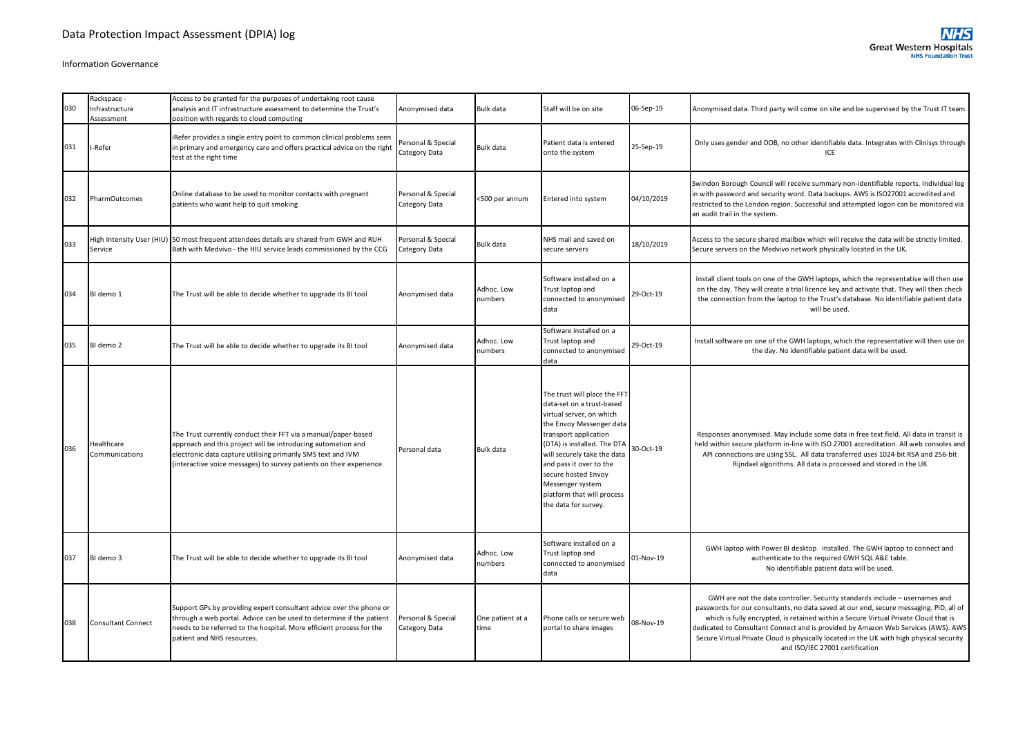| 030 | Rackspace -<br>Infrastructure<br>Assessment | Access to be granted for the purposes of undertaking root cause<br>analysis and IT infrastructure assessment to determine the Trust's<br>position with regards to cloud computing                                                                                      | Anonymised data                     | <b>Bulk data</b>         | Staff will be on site                                                                                                                                                                                                                                                                                                                | 06-Sep-19  | Anonymised data. Third party will come on site and be supervised by the Trust IT team.                                                                                                                                                                                                                                                                                                                                                                                           |
|-----|---------------------------------------------|------------------------------------------------------------------------------------------------------------------------------------------------------------------------------------------------------------------------------------------------------------------------|-------------------------------------|--------------------------|--------------------------------------------------------------------------------------------------------------------------------------------------------------------------------------------------------------------------------------------------------------------------------------------------------------------------------------|------------|----------------------------------------------------------------------------------------------------------------------------------------------------------------------------------------------------------------------------------------------------------------------------------------------------------------------------------------------------------------------------------------------------------------------------------------------------------------------------------|
| 031 | I-Refer                                     | iRefer provides a single entry point to common clinical problems seen<br>in primary and emergency care and offers practical advice on the right<br>test at the right time                                                                                              | Personal & Special<br>Category Data | <b>Bulk data</b>         | Patient data is entered<br>onto the system                                                                                                                                                                                                                                                                                           | 25-Sep-19  | Only uses gender and DOB, no other identifiable data. Integrates with Clinisys through<br>ICE                                                                                                                                                                                                                                                                                                                                                                                    |
| 032 | <b>PharmOutcomes</b>                        | Online database to be used to monitor contacts with pregnant<br>patients who want help to quit smoking                                                                                                                                                                 | Personal & Special<br>Category Data | <500 per annum           | Entered into system                                                                                                                                                                                                                                                                                                                  | 04/10/2019 | Swindon Borough Council will receive summary non-identifiable reports. Individual log<br>in with password and security word. Data backups. AWS is ISO27001 accredited and<br>restricted to the London region. Successful and attempted logon can be monitored via<br>an audit trail in the system.                                                                                                                                                                               |
| 033 | High Intensity User (HIU)<br>Service        | 50 most frequent attendees details are shared from GWH and RUH<br>Bath with Medvivo - the HIU service leads commissioned by the CCG                                                                                                                                    | Personal & Special<br>Category Data | <b>Bulk data</b>         | NHS mail and saved on<br>secure servers                                                                                                                                                                                                                                                                                              | 18/10/2019 | Access to the secure shared mailbox which will receive the data will be strictly limited.<br>Secure servers on the Medvivo network physically located in the UK.                                                                                                                                                                                                                                                                                                                 |
| 034 | BI demo 1                                   | The Trust will be able to decide whether to upgrade its BI tool                                                                                                                                                                                                        | Anonymised data                     | Adhoc. Low<br>numbers    | Software installed on a<br>Trust laptop and<br>connected to anonymised<br>data                                                                                                                                                                                                                                                       | 29-Oct-19  | Install client tools on one of the GWH laptops, which the representative will then use<br>on the day. They will create a trial licence key and activate that. They will then check<br>the connection from the laptop to the Trust's database. No identifiable patient data<br>will be used.                                                                                                                                                                                      |
| 035 | BI demo 2                                   | The Trust will be able to decide whether to upgrade its BI tool                                                                                                                                                                                                        | Anonymised data                     | Adhoc. Low<br>numbers    | Software installed on a<br>Trust laptop and<br>connected to anonymised<br>data                                                                                                                                                                                                                                                       | 29-Oct-19  | Install software on one of the GWH laptops, which the representative will then use on<br>the day. No identifiable patient data will be used.                                                                                                                                                                                                                                                                                                                                     |
| 036 | Healthcare<br>Communications                | The Trust currently conduct their FFT via a manual/paper-based<br>approach and this project will be introducing automation and<br>electronic data capture utilising primarily SMS text and IVM<br>(interactive voice messages) to survey patients on their experience. | Personal data                       | <b>Bulk data</b>         | The trust will place the FFT<br>data-set on a trust-based<br>virtual server, on which<br>the Envoy Messenger data<br>transport application<br>(DTA) is installed. The DTA<br>will securely take the data<br>and pass it over to the<br>secure hosted Envoy<br>Messenger system<br>platform that will process<br>the data for survey. | 30-Oct-19  | Responses anonymised. May include some data in free text field. All data in transit is<br>held within secure platform in-line with ISO 27001 accreditation. All web consoles and<br>API connections are using SSL. All data transferred uses 1024-bit RSA and 256-bit<br>Rijndael algorithms. All data is processed and stored in the UK                                                                                                                                         |
| 037 | BI demo 3                                   | The Trust will be able to decide whether to upgrade its BI tool                                                                                                                                                                                                        | Anonymised data                     | Adhoc. Low<br>numbers    | Software installed on a<br>Trust laptop and<br>connected to anonymised<br>data                                                                                                                                                                                                                                                       | 01-Nov-19  | GWH laptop with Power BI desktop installed. The GWH laptop to connect and<br>authenticate to the required GWH SQL A&E table.<br>No identifiable patient data will be used.                                                                                                                                                                                                                                                                                                       |
| 038 | <b>Consultant Connect</b>                   | Support GPs by providing expert consultant advice over the phone or<br>through a web portal. Advice can be used to determine if the patient<br>needs to be referred to the hospital. More efficient process for the<br>patient and NHS resources.                      | Personal & Special<br>Category Data | One patient at a<br>time | Phone calls or secure web<br>portal to share images                                                                                                                                                                                                                                                                                  | 08-Nov-19  | GWH are not the data controller. Security standards include - usernames and<br>passwords for our consultants, no data saved at our end, secure messaging. PID, all of<br>which is fully encrypted, is retained within a Secure Virtual Private Cloud that is<br>dedicated to Consultant Connect and is provided by Amazon Web Services (AWS). AWS<br>Secure Virtual Private Cloud is physically located in the UK with high physical security<br>and ISO/IEC 27001 certification |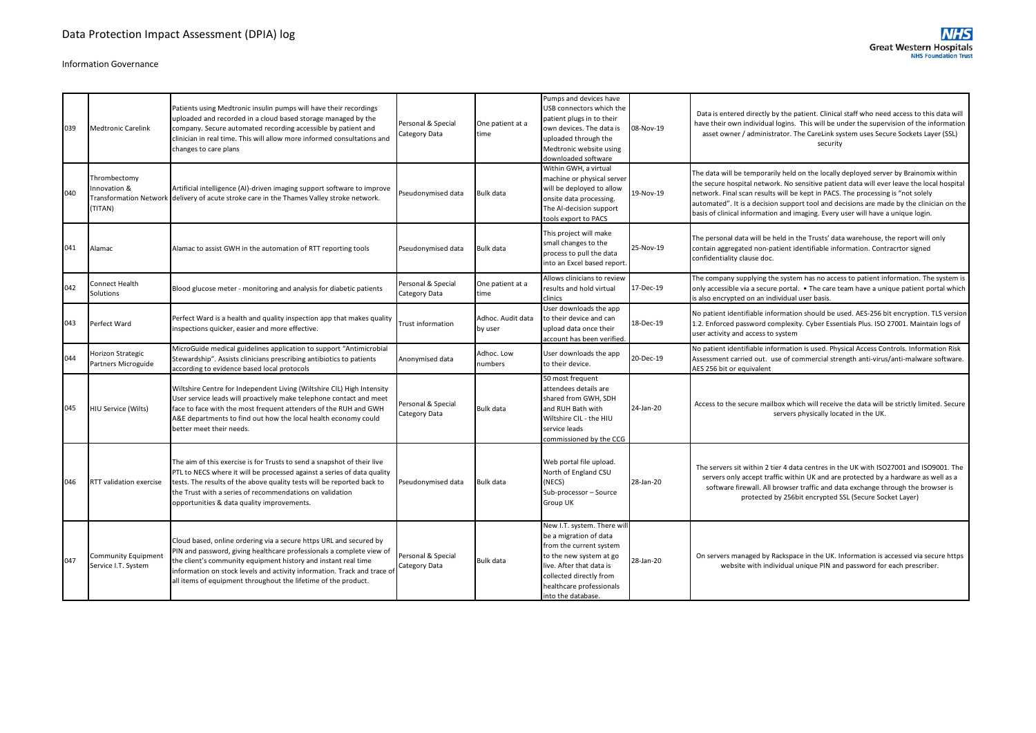| 039 | <b>Medtronic Carelink</b>                                               | Patients using Medtronic insulin pumps will have their recordings<br>uploaded and recorded in a cloud based storage managed by the<br>company. Secure automated recording accessible by patient and<br>clinician in real time. This will allow more informed consultations and<br>changes to care plans                                                    | Personal & Special<br>Category Data | One patient at a<br>time     | Pumps and devices have<br>USB connectors which the<br>patient plugs in to their<br>own devices. The data is<br>uploaded through the<br>Medtronic website using<br>downloaded software                                | 08-Nov-19 | Data is entered directly by the patient. Clinical staff who need access to this data will<br>have their own individual logins. This will be under the supervision of the information<br>asset owner / administrator. The CareLink system uses Secure Sockets Layer (SSL)<br>security                                                                                                                                                                |
|-----|-------------------------------------------------------------------------|------------------------------------------------------------------------------------------------------------------------------------------------------------------------------------------------------------------------------------------------------------------------------------------------------------------------------------------------------------|-------------------------------------|------------------------------|----------------------------------------------------------------------------------------------------------------------------------------------------------------------------------------------------------------------|-----------|-----------------------------------------------------------------------------------------------------------------------------------------------------------------------------------------------------------------------------------------------------------------------------------------------------------------------------------------------------------------------------------------------------------------------------------------------------|
| 040 | Thrombectomy<br>nnovation &<br><b>Transformation Network</b><br>(TITAN) | Artificial intelligence (AI)-driven imaging support software to improve<br>delivery of acute stroke care in the Thames Valley stroke network.                                                                                                                                                                                                              | Pseudonymised data                  | Bulk data                    | Within GWH, a virtual<br>machine or physical server<br>will be deployed to allow<br>onsite data processing.<br>The Al-decision support<br>tools export to PACS                                                       | 19-Nov-19 | The data will be temporarily held on the locally deployed server by Brainomix within<br>the secure hospital network. No sensitive patient data will ever leave the local hospital<br>network. Final scan results will be kept in PACS. The processing is "not solely<br>automated". It is a decision support tool and decisions are made by the clinician on the<br>basis of clinical information and imaging. Every user will have a unique login. |
| 041 | Alamac                                                                  | Alamac to assist GWH in the automation of RTT reporting tools                                                                                                                                                                                                                                                                                              | Pseudonymised data                  | Bulk data                    | This project will make<br>small changes to the<br>process to pull the data<br>into an Excel based report.                                                                                                            | 25-Nov-19 | The personal data will be held in the Trusts' data warehouse, the report will only<br>contain aggregated non-patient identifiable information. Contracrtor signed<br>confidentiality clause doc.                                                                                                                                                                                                                                                    |
| 042 | Connect Health<br>Solutions                                             | Blood glucose meter - monitoring and analysis for diabetic patients                                                                                                                                                                                                                                                                                        | Personal & Special<br>Category Data | One patient at a<br>time     | Allows clinicians to review<br>results and hold virtual<br>clinics                                                                                                                                                   | 17-Dec-19 | The company supplying the system has no access to patient information. The system is<br>only accessible via a secure portal. • The care team have a unique patient portal which<br>is also encrypted on an individual user basis.                                                                                                                                                                                                                   |
| 043 | Perfect Ward                                                            | Perfect Ward is a health and quality inspection app that makes quality<br>nspections quicker, easier and more effective.                                                                                                                                                                                                                                   | <b>Trust information</b>            | Adhoc. Audit data<br>by user | User downloads the app<br>to their device and can<br>upload data once their<br>account has been verified                                                                                                             | 18-Dec-19 | No patient identifiable information should be used. AES-256 bit encryption. TLS version<br>1.2. Enforced password complexity. Cyber Essentials Plus. ISO 27001. Maintain logs of<br>user activity and access to system                                                                                                                                                                                                                              |
| 044 | Horizon Strategic<br>Partners Microguide                                | MicroGuide medical guidelines application to support "Antimicrobial<br>Stewardship". Assists clinicians prescribing antibiotics to patients<br>according to evidence based local protocols                                                                                                                                                                 | Anonymised data                     | Adhoc, Low<br>numbers        | User downloads the app<br>to their device.                                                                                                                                                                           | 20-Dec-19 | No patient identifiable information is used. Physical Access Controls. Information Risk<br>Assessment carried out. use of commercial strength anti-virus/anti-malware software.<br>AES 256 bit or equivalent                                                                                                                                                                                                                                        |
| 045 | HIU Service (Wilts)                                                     | Wiltshire Centre for Independent Living (Wiltshire CIL) High Intensity<br>User service leads will proactively make telephone contact and meet<br>face to face with the most frequent attenders of the RUH and GWH<br>A&E departments to find out how the local health economy could<br>better meet their needs.                                            | Personal & Special<br>Category Data | Bulk data                    | 50 most frequent<br>attendees details are<br>shared from GWH, SDH<br>and RUH Bath with<br>Wiltshire CIL - the HIU<br>service leads<br>commissioned by the CCG                                                        | 24-Jan-20 | Access to the secure mailbox which will receive the data will be strictly limited. Secure<br>servers physically located in the UK.                                                                                                                                                                                                                                                                                                                  |
| 046 | RTT validation exercise                                                 | The aim of this exercise is for Trusts to send a snapshot of their live<br>PTL to NECS where it will be processed against a series of data quality<br>tests. The results of the above quality tests will be reported back to<br>the Trust with a series of recommendations on validation<br>opportunities & data quality improvements.                     | Pseudonymised data                  | Bulk data                    | Web portal file upload.<br>North of England CSU<br>(NECS)<br>Sub-processor - Source<br>Group UK                                                                                                                      | 28-Jan-20 | The servers sit within 2 tier 4 data centres in the UK with ISO27001 and ISO9001. The<br>servers only accept traffic within UK and are protected by a hardware as well as a<br>software firewall. All browser traffic and data exchange through the browser is<br>protected by 256bit encrypted SSL (Secure Socket Layer)                                                                                                                           |
| 047 | Community Equipmen<br>Service I.T. System                               | Cloud based, online ordering via a secure https URL and secured by<br>PIN and password, giving healthcare professionals a complete view of<br>the client's community equipment history and instant real time<br>information on stock levels and activity information. Track and trace of<br>all items of equipment throughout the lifetime of the product. | Personal & Special<br>Category Data | Bulk data                    | New I.T. system. There will<br>be a migration of data<br>from the current system<br>to the new system at go<br>live. After that data is<br>collected directly from<br>healthcare professionals<br>into the database. | 28-Jan-20 | On servers managed by Rackspace in the UK. Information is accessed via secure https<br>website with individual unique PIN and password for each prescriber.                                                                                                                                                                                                                                                                                         |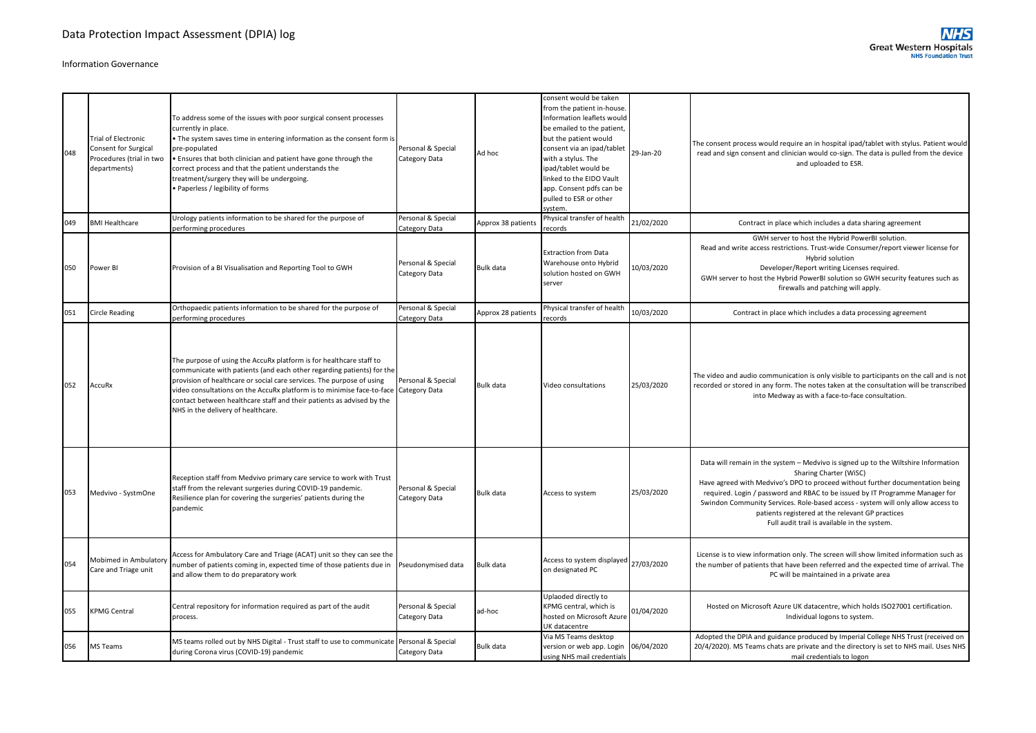| 048 | <b>Trial of Electronic</b><br>Consent for Surgical<br>Procedures (trial in two<br>departments) | To address some of the issues with poor surgical consent processes<br>currently in place.<br>. The system saves time in entering information as the consent form is<br>pre-populated<br>. Ensures that both clinician and patient have gone through the<br>correct process and that the patient understands the<br>treatment/surgery they will be undergoing.<br>· Paperless / legibility of forms             | Personal & Special<br>Category Data | Ad hoc             | consent would be taken<br>from the patient in-house.<br>Information leaflets would<br>be emailed to the patient,<br>but the patient would<br>consent via an ipad/tablet<br>with a stylus. The<br>ipad/tablet would be<br>linked to the EIDO Vault<br>app. Consent pdfs can be<br>pulled to ESR or other<br>system. | 29-Jan-20  | The consent process would require an in hospital ipad/tablet with stylus. Patient would<br>read and sign consent and clinician would co-sign. The data is pulled from the device<br>and uploaded to ESR.                                                                                                                                                                                                                                                              |
|-----|------------------------------------------------------------------------------------------------|----------------------------------------------------------------------------------------------------------------------------------------------------------------------------------------------------------------------------------------------------------------------------------------------------------------------------------------------------------------------------------------------------------------|-------------------------------------|--------------------|--------------------------------------------------------------------------------------------------------------------------------------------------------------------------------------------------------------------------------------------------------------------------------------------------------------------|------------|-----------------------------------------------------------------------------------------------------------------------------------------------------------------------------------------------------------------------------------------------------------------------------------------------------------------------------------------------------------------------------------------------------------------------------------------------------------------------|
| 049 | <b>BMI Healthcare</b>                                                                          | Urology patients information to be shared for the purpose of<br>performing procedures                                                                                                                                                                                                                                                                                                                          | Personal & Special<br>Category Data | Approx 38 patients | Physical transfer of health<br>records                                                                                                                                                                                                                                                                             | 21/02/2020 | Contract in place which includes a data sharing agreement                                                                                                                                                                                                                                                                                                                                                                                                             |
| 050 | Power BI                                                                                       | Provision of a BI Visualisation and Reporting Tool to GWH                                                                                                                                                                                                                                                                                                                                                      | Personal & Special<br>Category Data | Bulk data          | <b>Extraction from Data</b><br>Warehouse onto Hybrid<br>solution hosted on GWH<br>server                                                                                                                                                                                                                           | 10/03/2020 | GWH server to host the Hybrid PowerBI solution.<br>Read and write access restrictions. Trust-wide Consumer/report viewer license for<br>Hybrid solution<br>Developer/Report writing Licenses required.<br>GWH server to host the Hybrid PowerBI solution so GWH security features such as<br>firewalls and patching will apply.                                                                                                                                       |
| 051 | <b>Circle Reading</b>                                                                          | Orthopaedic patients information to be shared for the purpose of<br>performing procedures                                                                                                                                                                                                                                                                                                                      | Personal & Special<br>Category Data | Approx 28 patients | Physical transfer of health<br>records                                                                                                                                                                                                                                                                             | 10/03/2020 | Contract in place which includes a data processing agreement                                                                                                                                                                                                                                                                                                                                                                                                          |
| 052 | <b>AccuRx</b>                                                                                  | The purpose of using the AccuRx platform is for healthcare staff to<br>communicate with patients (and each other regarding patients) for the<br>provision of healthcare or social care services. The purpose of using<br>video consultations on the AccuRx platform is to minimise face-to-face<br>contact between healthcare staff and their patients as advised by the<br>NHS in the delivery of healthcare. | Personal & Special<br>Category Data | Bulk data          | Video consultations                                                                                                                                                                                                                                                                                                | 25/03/2020 | The video and audio communication is only visible to participants on the call and is not<br>recorded or stored in any form. The notes taken at the consultation will be transcribed<br>into Medway as with a face-to-face consultation.                                                                                                                                                                                                                               |
| 053 | Medvivo - SystmOne                                                                             | Reception staff from Medvivo primary care service to work with Trust<br>staff from the relevant surgeries during COVID-19 pandemic.<br>Resilience plan for covering the surgeries' patients during the<br>pandemic                                                                                                                                                                                             | Personal & Special<br>Category Data | Bulk data          | Access to system                                                                                                                                                                                                                                                                                                   | 25/03/2020 | Data will remain in the system - Medvivo is signed up to the Wiltshire Information<br>Sharing Charter (WiSC)<br>Have agreed with Medvivo's DPO to proceed without further documentation being<br>required. Login / password and RBAC to be issued by IT Programme Manager for<br>Swindon Community Services. Role-based access - system will only allow access to<br>patients registered at the relevant GP practices<br>Full audit trail is available in the system. |
| 054 | Mobimed in Ambulator<br>Care and Triage unit                                                   | Access for Ambulatory Care and Triage (ACAT) unit so they can see the<br>number of patients coming in, expected time of those patients due in<br>and allow them to do preparatory work                                                                                                                                                                                                                         | Pseudonymised data                  | Bulk data          | Access to system displayed<br>on designated PC                                                                                                                                                                                                                                                                     | 27/03/2020 | License is to view information only. The screen will show limited information such as<br>the number of patients that have been referred and the expected time of arrival. The<br>PC will be maintained in a private area                                                                                                                                                                                                                                              |
| 055 | <b>KPMG Central</b>                                                                            | Central repository for information required as part of the audit<br>process.                                                                                                                                                                                                                                                                                                                                   | Personal & Special<br>Category Data | ad-hoc             | Uplaoded directly to<br>KPMG central, which is<br>hosted on Microsoft Azure<br>UK datacentre                                                                                                                                                                                                                       | 01/04/2020 | Hosted on Microsoft Azure UK datacentre, which holds ISO27001 certification.<br>Individual logons to system.                                                                                                                                                                                                                                                                                                                                                          |
| 056 | MS Teams                                                                                       | MS teams rolled out by NHS Digital - Trust staff to use to communicate Personal & Special<br>during Corona virus (COVID-19) pandemic                                                                                                                                                                                                                                                                           | Category Data                       | Bulk data          | Via MS Teams desktop<br>version or web app. Login<br>using NHS mail credentials                                                                                                                                                                                                                                    | 06/04/2020 | Adopted the DPIA and guidance produced by Imperial College NHS Trust (received on<br>20/4/2020). MS Teams chats are private and the directory is set to NHS mail. Uses NHS<br>mail credentials to logon                                                                                                                                                                                                                                                               |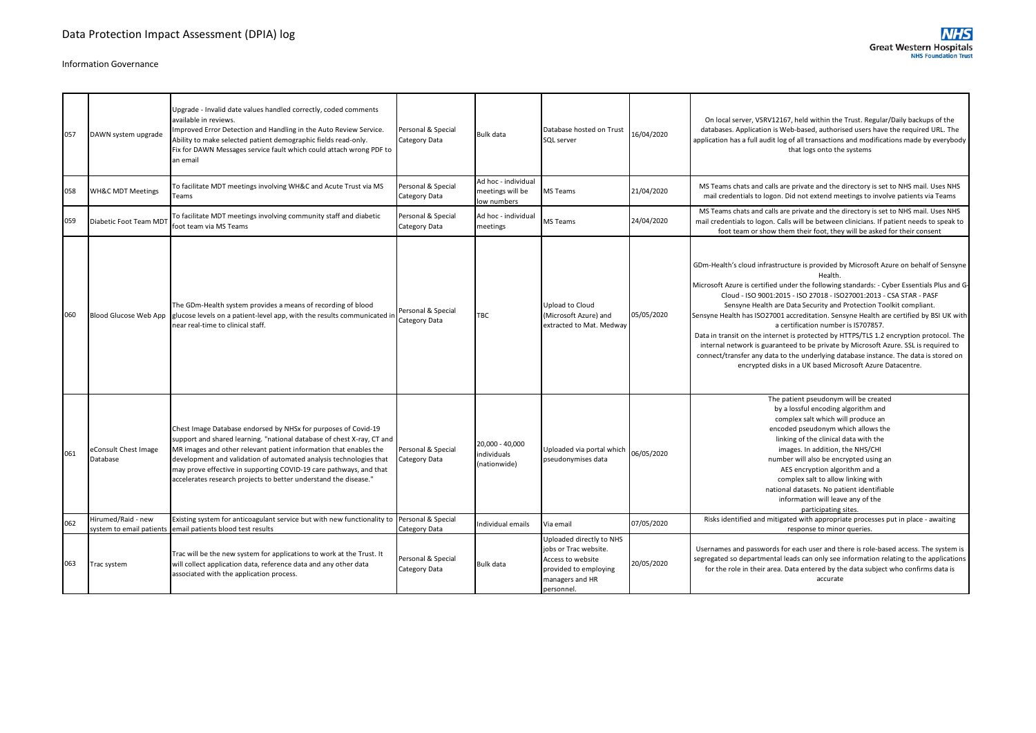| 057 | DAWN system upgrade              | Upgrade - Invalid date values handled correctly, coded comments<br>available in reviews.<br>Improved Error Detection and Handling in the Auto Review Service.<br>Ability to make selected patient demographic fields read-only.<br>Fix for DAWN Messages service fault which could attach wrong PDF to<br>an email                                                                                                            | Personal & Special<br>Category Data | Bulk data                                              | Database hosted on Trust<br>SQL server                                                                                          | 16/04/2020 | On local server, VSRV12167, held within the Trust. Regular/Daily backups of the<br>databases. Application is Web-based, authorised users have the required URL. The<br>application has a full audit log of all transactions and modifications made by everybody<br>that logs onto the systems                                                                                                                                                                                                                                                                                                                                                                                                                                                                                                                      |
|-----|----------------------------------|-------------------------------------------------------------------------------------------------------------------------------------------------------------------------------------------------------------------------------------------------------------------------------------------------------------------------------------------------------------------------------------------------------------------------------|-------------------------------------|--------------------------------------------------------|---------------------------------------------------------------------------------------------------------------------------------|------------|--------------------------------------------------------------------------------------------------------------------------------------------------------------------------------------------------------------------------------------------------------------------------------------------------------------------------------------------------------------------------------------------------------------------------------------------------------------------------------------------------------------------------------------------------------------------------------------------------------------------------------------------------------------------------------------------------------------------------------------------------------------------------------------------------------------------|
| 058 | <b>WH&amp;C MDT Meetings</b>     | To facilitate MDT meetings involving WH&C and Acute Trust via MS<br>Teams                                                                                                                                                                                                                                                                                                                                                     | Personal & Special<br>Category Data | Ad hoc - individual<br>meetings will be<br>low numbers | <b>MS Teams</b>                                                                                                                 | 21/04/2020 | MS Teams chats and calls are private and the directory is set to NHS mail. Uses NHS<br>mail credentials to logon. Did not extend meetings to involve patients via Teams                                                                                                                                                                                                                                                                                                                                                                                                                                                                                                                                                                                                                                            |
| 059 | Diabetic Foot Team MD1           | To facilitate MDT meetings involving community staff and diabetic<br>foot team via MS Teams                                                                                                                                                                                                                                                                                                                                   | Personal & Special<br>Category Data | Ad hoc - individual<br>meetings                        | MS Teams                                                                                                                        | 24/04/2020 | MS Teams chats and calls are private and the directory is set to NHS mail. Uses NHS<br>mail credentials to logon. Calls will be between clinicians. If patient needs to speak to<br>foot team or show them their foot, they will be asked for their consent                                                                                                                                                                                                                                                                                                                                                                                                                                                                                                                                                        |
| 060 | Blood Glucose Web App            | The GDm-Health system provides a means of recording of blood<br>glucose levels on a patient-level app, with the results communicated in<br>near real-time to clinical staff.                                                                                                                                                                                                                                                  | Personal & Special<br>Category Data | TBC                                                    | Upload to Cloud<br>(Microsoft Azure) and<br>extracted to Mat. Medway                                                            | 05/05/2020 | GDm-Health's cloud infrastructure is provided by Microsoft Azure on behalf of Sensyne<br>Health.<br>Microsoft Azure is certified under the following standards: - Cyber Essentials Plus and G-<br>Cloud - ISO 9001:2015 - ISO 27018 - ISO27001:2013 - CSA STAR - PASF<br>Sensyne Health are Data Security and Protection Toolkit compliant.<br>Sensyne Health has ISO27001 accreditation. Sensyne Health are certified by BSI UK with<br>a certification number is IS707857.<br>Data in transit on the internet is protected by HTTPS/TLS 1.2 encryption protocol. The<br>internal network is guaranteed to be private by Microsoft Azure. SSL is required to<br>connect/transfer any data to the underlying database instance. The data is stored on<br>encrypted disks in a UK based Microsoft Azure Datacentre. |
| 061 | eConsult Chest Image<br>Database | Chest Image Database endorsed by NHSx for purposes of Covid-19<br>support and shared learning. "national database of chest X-ray, CT and<br>MR images and other relevant patient information that enables the<br>development and validation of automated analysis technologies that<br>may prove effective in supporting COVID-19 care pathways, and that<br>accelerates research projects to better understand the disease." | Personal & Special<br>Category Data | 20,000 - 40,000<br>ndividuals<br>(nationwide)          | Uploaded via portal which<br>pseudonymises data                                                                                 | 06/05/2020 | The patient pseudonym will be created<br>by a lossful encoding algorithm and<br>complex salt which will produce an<br>encoded pseudonym which allows the<br>linking of the clinical data with the<br>images. In addition, the NHS/CHI<br>number will also be encrypted using an<br>AES encryption algorithm and a<br>complex salt to allow linking with<br>national datasets. No patient identifiable<br>information will leave any of the<br>participating sites.                                                                                                                                                                                                                                                                                                                                                 |
| 062 | Hirumed/Raid - new               | Existing system for anticoagulant service but with new functionality to<br>system to email patients email patients blood test results                                                                                                                                                                                                                                                                                         | Personal & Special<br>Category Data | Individual emails                                      | Via email                                                                                                                       | 07/05/2020 | Risks identified and mitigated with appropriate processes put in place - awaiting<br>response to minor queries.                                                                                                                                                                                                                                                                                                                                                                                                                                                                                                                                                                                                                                                                                                    |
| 063 | Trac system                      | Trac will be the new system for applications to work at the Trust. It<br>will collect application data, reference data and any other data<br>associated with the application process.                                                                                                                                                                                                                                         | Personal & Special<br>Category Data | Bulk data                                              | Uploaded directly to NHS<br>jobs or Trac website.<br>Access to website<br>provided to employing<br>managers and HR<br>personnel | 20/05/2020 | Usernames and passwords for each user and there is role-based access. The system is<br>segregated so departmental leads can only see information relating to the applications<br>for the role in their area. Data entered by the data subject who confirms data is<br>accurate                                                                                                                                                                                                                                                                                                                                                                                                                                                                                                                                     |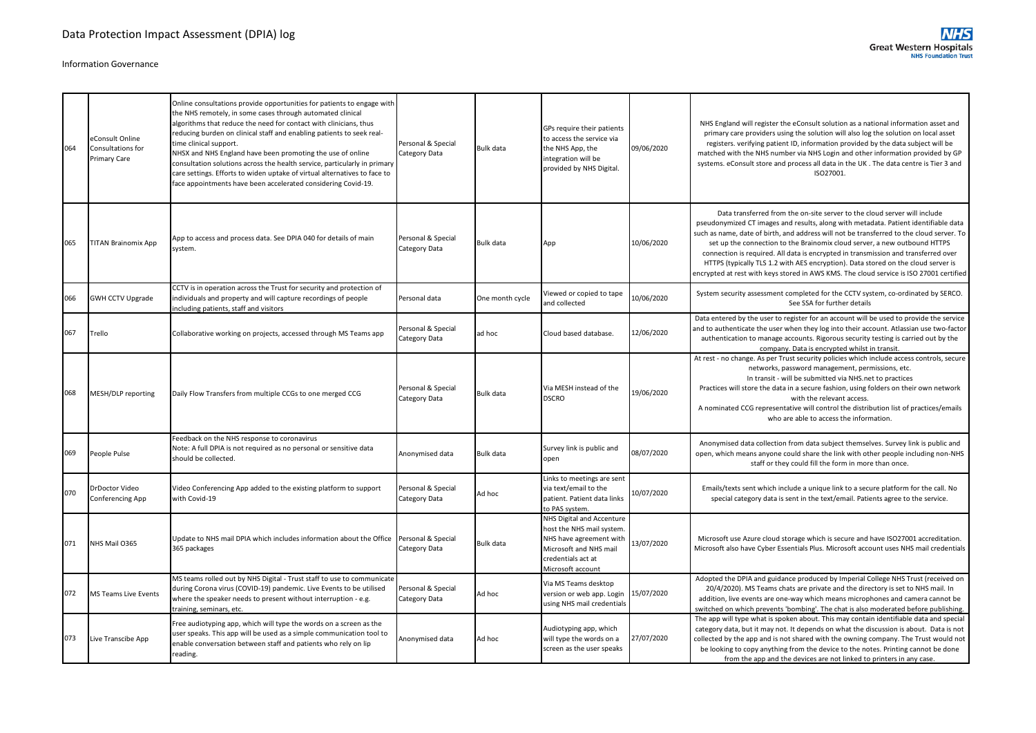| 064 | eConsult Online<br>Consultations for<br>Primary Care | Online consultations provide opportunities for patients to engage with<br>the NHS remotely, in some cases through automated clinical<br>algorithms that reduce the need for contact with clinicians, thus<br>reducing burden on clinical staff and enabling patients to seek real-<br>time clinical support.<br>NHSX and NHS England have been promoting the use of online<br>consultation solutions across the health service, particularly in primary<br>care settings. Efforts to widen uptake of virtual alternatives to face to<br>face appointments have been accelerated considering Covid-19. | Personal & Special<br>Category Data | Bulk data       | GPs require their patients<br>to access the service via<br>the NHS App, the<br>integration will be<br>provided by NHS Digital.                        | 09/06/2020 | NHS England will register the eConsult solution as a national information asset and<br>primary care providers using the solution will also log the solution on local asset<br>registers. verifying patient ID, information provided by the data subject will be<br>matched with the NHS number via NHS Login and other information provided by GP<br>systems. eConsult store and process all data in the UK . The data centre is Tier 3 and<br>ISO27001.                                                                                                                                                        |
|-----|------------------------------------------------------|-------------------------------------------------------------------------------------------------------------------------------------------------------------------------------------------------------------------------------------------------------------------------------------------------------------------------------------------------------------------------------------------------------------------------------------------------------------------------------------------------------------------------------------------------------------------------------------------------------|-------------------------------------|-----------------|-------------------------------------------------------------------------------------------------------------------------------------------------------|------------|-----------------------------------------------------------------------------------------------------------------------------------------------------------------------------------------------------------------------------------------------------------------------------------------------------------------------------------------------------------------------------------------------------------------------------------------------------------------------------------------------------------------------------------------------------------------------------------------------------------------|
| 065 | <b>TITAN Brainomix App</b>                           | App to access and process data. See DPIA 040 for details of main<br>system.                                                                                                                                                                                                                                                                                                                                                                                                                                                                                                                           | Personal & Special<br>Category Data | Bulk data       | App                                                                                                                                                   | 10/06/2020 | Data transferred from the on-site server to the cloud server will include<br>pseudonymized CT images and results, along with metadata. Patient identifiable data<br>such as name, date of birth, and address will not be transferred to the cloud server. To<br>set up the connection to the Brainomix cloud server, a new outbound HTTPS<br>connection is required. All data is encrypted in transmission and transferred over<br>HTTPS (typically TLS 1.2 with AES encryption). Data stored on the cloud server is<br>encrypted at rest with keys stored in AWS KMS. The cloud service is ISO 27001 certified |
| 066 | <b>GWH CCTV Upgrade</b>                              | CCTV is in operation across the Trust for security and protection of<br>individuals and property and will capture recordings of people<br>including patients, staff and visitors                                                                                                                                                                                                                                                                                                                                                                                                                      | Personal data                       | One month cycle | Viewed or copied to tape<br>and collected                                                                                                             | 10/06/2020 | System security assessment completed for the CCTV system, co-ordinated by SERCO.<br>See SSA for further details                                                                                                                                                                                                                                                                                                                                                                                                                                                                                                 |
| 067 | Trello                                               | Collaborative working on projects, accessed through MS Teams app                                                                                                                                                                                                                                                                                                                                                                                                                                                                                                                                      | Personal & Special<br>Category Data | ad hoc          | Cloud based database.                                                                                                                                 | 12/06/2020 | Data entered by the user to register for an account will be used to provide the service<br>and to authenticate the user when they log into their account. Atlassian use two-factor<br>authentication to manage accounts. Rigorous security testing is carried out by the<br>company. Data is encrypted whilst in transit.                                                                                                                                                                                                                                                                                       |
| 068 | MESH/DLP reporting                                   | Daily Flow Transfers from multiple CCGs to one merged CCG                                                                                                                                                                                                                                                                                                                                                                                                                                                                                                                                             | Personal & Special<br>Category Data | Bulk data       | Via MESH instead of the<br><b>DSCRO</b>                                                                                                               | 19/06/2020 | At rest - no change. As per Trust security policies which include access controls, secure<br>networks, password management, permissions, etc.<br>In transit - will be submitted via NHS.net to practices<br>Practices will store the data in a secure fashion, using folders on their own network<br>with the relevant access.<br>A nominated CCG representative will control the distribution list of practices/emails<br>who are able to access the information.                                                                                                                                              |
| 069 | People Pulse                                         | Feedback on the NHS response to coronavirus<br>Note: A full DPIA is not required as no personal or sensitive data<br>should be collected.                                                                                                                                                                                                                                                                                                                                                                                                                                                             | Anonymised data                     | Bulk data       | Survey link is public and<br>open                                                                                                                     | 08/07/2020 | Anonymised data collection from data subject themselves. Survey link is public and<br>open, which means anyone could share the link with other people including non-NHS<br>staff or they could fill the form in more than once.                                                                                                                                                                                                                                                                                                                                                                                 |
| 070 | DrDoctor Video<br>Conferencing App                   | Video Conferencing App added to the existing platform to support<br>with Covid-19                                                                                                                                                                                                                                                                                                                                                                                                                                                                                                                     | Personal & Special<br>Category Data | Ad hoc          | Links to meetings are sent<br>via text/email to the<br>patient. Patient data links<br>to PAS system.                                                  | 10/07/2020 | Emails/texts sent which include a unique link to a secure platform for the call. No<br>special category data is sent in the text/email. Patients agree to the service.                                                                                                                                                                                                                                                                                                                                                                                                                                          |
| 071 | NHS Mail 0365                                        | Update to NHS mail DPIA which includes information about the Office<br>365 packages                                                                                                                                                                                                                                                                                                                                                                                                                                                                                                                   | Personal & Special<br>Category Data | Bulk data       | NHS Digital and Accenture<br>host the NHS mail system<br>NHS have agreement with<br>Microsoft and NHS mail<br>credentials act at<br>Microsoft account | 13/07/2020 | Microsoft use Azure cloud storage which is secure and have ISO27001 accreditation.<br>Microsoft also have Cyber Essentials Plus. Microsoft account uses NHS mail credentials                                                                                                                                                                                                                                                                                                                                                                                                                                    |
| 072 | MS Teams Live Events                                 | MS teams rolled out by NHS Digital - Trust staff to use to communicate<br>during Corona virus (COVID-19) pandemic. Live Events to be utilised<br>where the speaker needs to present without interruption - e.g.<br>training, seminars, etc.                                                                                                                                                                                                                                                                                                                                                           | Personal & Special<br>Category Data | Ad hoc          | Via MS Teams desktop<br>version or web app. Login<br>using NHS mail credentials                                                                       | 15/07/2020 | Adopted the DPIA and guidance produced by Imperial College NHS Trust (received on<br>20/4/2020). MS Teams chats are private and the directory is set to NHS mail. In<br>addition, live events are one-way which means microphones and camera cannot be<br>switched on which prevents 'bombing'. The chat is also moderated before publishing.                                                                                                                                                                                                                                                                   |
| 073 | Live Transcibe App                                   | Free audiotyping app, which will type the words on a screen as the<br>user speaks. This app will be used as a simple communication tool to<br>enable conversation between staff and patients who rely on lip<br>reading.                                                                                                                                                                                                                                                                                                                                                                              | Anonymised data                     | Ad hoc          | Audiotyping app, which<br>will type the words on a<br>screen as the user speaks                                                                       | 27/07/2020 | The app will type what is spoken about. This may contain identifiable data and special<br>category data, but it may not. It depends on what the discussion is about. Data is not<br>collected by the app and is not shared with the owning company. The Trust would not<br>be looking to copy anything from the device to the notes. Printing cannot be done<br>from the app and the devices are not linked to printers in any case.                                                                                                                                                                            |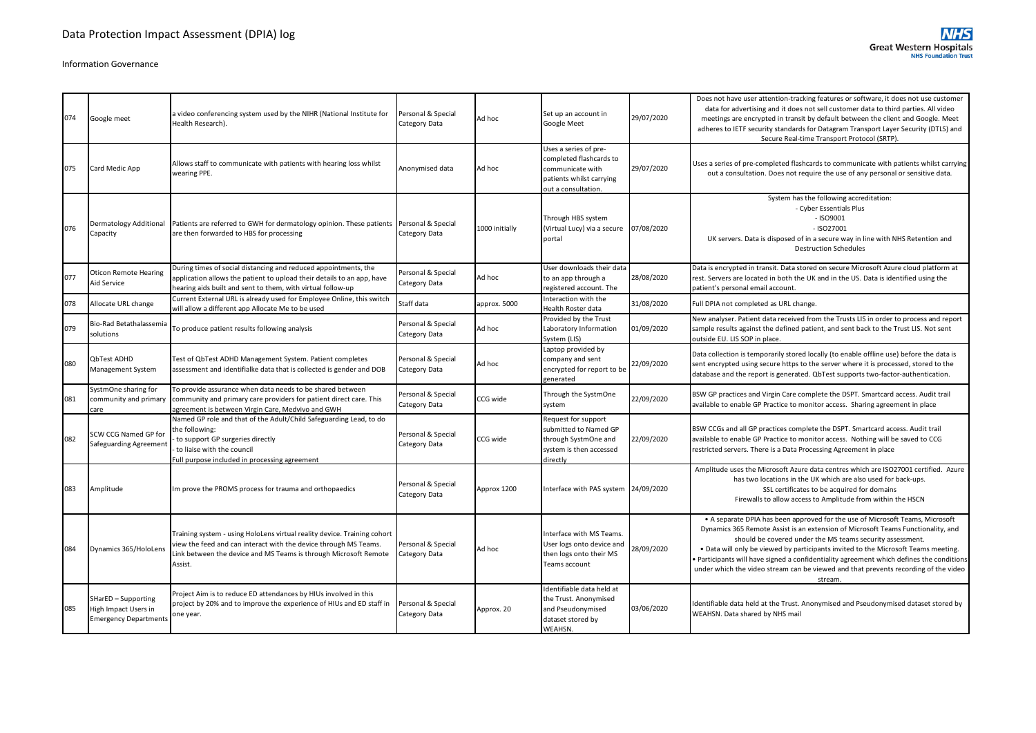| 074 | Google meet                                                                 | a video conferencing system used by the NIHR (National Institute for<br>Health Research).                                                                                                                                  | Personal & Special<br>Category Data | Ad hoc         | Set up an account in<br>Google Meet                                                                                     | 29/07/2020 | Does not have user attention-tracking features or software, it does not use customer<br>data for advertising and it does not sell customer data to third parties. All video<br>meetings are encrypted in transit by default between the client and Google. Meet<br>adheres to IETF security standards for Datagram Transport Layer Security (DTLS) and<br>Secure Real-time Transport Protocol (SRTP).                                                                                                            |
|-----|-----------------------------------------------------------------------------|----------------------------------------------------------------------------------------------------------------------------------------------------------------------------------------------------------------------------|-------------------------------------|----------------|-------------------------------------------------------------------------------------------------------------------------|------------|------------------------------------------------------------------------------------------------------------------------------------------------------------------------------------------------------------------------------------------------------------------------------------------------------------------------------------------------------------------------------------------------------------------------------------------------------------------------------------------------------------------|
| 075 | Card Medic App                                                              | Allows staff to communicate with patients with hearing loss whilst<br>wearing PPE.                                                                                                                                         | Anonymised data                     | Ad hoc         | Uses a series of pre-<br>completed flashcards to<br>communicate with<br>patients whilst carrying<br>out a consultation. | 29/07/2020 | Uses a series of pre-completed flashcards to communicate with patients whilst carrying<br>out a consultation. Does not require the use of any personal or sensitive data.                                                                                                                                                                                                                                                                                                                                        |
| 076 | Dermatology Additional<br>Capacity                                          | Patients are referred to GWH for dermatology opinion. These patients<br>are then forwarded to HBS for processing                                                                                                           | Personal & Special<br>Category Data | 1000 initially | Through HBS system<br>(Virtual Lucy) via a secure<br>portal                                                             | 07/08/2020 | System has the following accreditation:<br>- Cyber Essentials Plus<br>$-$ ISO9001<br>$-$ ISO27001<br>UK servers. Data is disposed of in a secure way in line with NHS Retention and<br><b>Destruction Schedules</b>                                                                                                                                                                                                                                                                                              |
| 077 | <b>Oticon Remote Hearing</b><br>Aid Service                                 | During times of social distancing and reduced appointments, the<br>application allows the patient to upload their details to an app, have<br>hearing aids built and sent to them, with virtual follow-up                   | Personal & Special<br>Category Data | Ad hoc         | User downloads their data<br>to an app through a<br>registered account. The                                             | 28/08/2020 | Data is encrypted in transit. Data stored on secure Microsoft Azure cloud platform at<br>rest. Servers are located in both the UK and in the US. Data is identified using the<br>patient's personal email account.                                                                                                                                                                                                                                                                                               |
| 078 | Allocate URL change                                                         | Current External URL is already used for Employee Online, this switch<br>will allow a different app Allocate Me to be used                                                                                                 | Staff data                          | approx. 5000   | Interaction with the<br>Health Roster data                                                                              | 31/08/2020 | Full DPIA not completed as URL change.                                                                                                                                                                                                                                                                                                                                                                                                                                                                           |
| 079 | Bio-Rad Betathalassemia<br>solutions                                        | To produce patient results following analysis                                                                                                                                                                              | Personal & Special<br>Category Data | Ad hoc         | Provided by the Trust<br>Laboratory Information<br>System (LIS)                                                         | 01/09/2020 | New analyser. Patient data received from the Trusts LIS in order to process and report<br>sample results against the defined patient, and sent back to the Trust LIS. Not sent<br>outside EU. LIS SOP in place.                                                                                                                                                                                                                                                                                                  |
| 080 | QbTest ADHD<br>Management System                                            | Test of QbTest ADHD Management System. Patient completes<br>assessment and identifialke data that is collected is gender and DOB                                                                                           | Personal & Special<br>Category Data | Ad hoc         | Laptop provided by<br>company and sent<br>encrypted for report to be<br>generated                                       | 22/09/2020 | Data collection is temporarily stored locally (to enable offline use) before the data is<br>sent encrypted using secure https to the server where it is processed, stored to the<br>database and the report is generated. QbTest supports two-factor-authentication.                                                                                                                                                                                                                                             |
| 081 | SystmOne sharing for<br>community and primary<br>care                       | To provide assurance when data needs to be shared between<br>community and primary care providers for patient direct care. This<br>agreement is between Virgin Care, Medvivo and GWH                                       | Personal & Special<br>Category Data | CCG wide       | Through the SystmOne<br>system                                                                                          | 22/09/2020 | BSW GP practices and Virgin Care complete the DSPT. Smartcard access. Audit trail<br>available to enable GP Practice to monitor access. Sharing agreement in place                                                                                                                                                                                                                                                                                                                                               |
| 082 | <b>SCW CCG Named GP for</b><br>Safeguarding Agreement                       | Named GP role and that of the Adult/Child Safeguarding Lead, to do<br>the following:<br>to support GP surgeries directly<br>to liaise with the council<br>Full purpose included in processing agreement                    | Personal & Special<br>Category Data | CCG wide       | Request for support<br>submitted to Named GP<br>through SystmOne and<br>system is then accessed<br>directly             | 22/09/2020 | BSW CCGs and all GP practices complete the DSPT. Smartcard access. Audit trail<br>available to enable GP Practice to monitor access. Nothing will be saved to CCG<br>restricted servers. There is a Data Processing Agreement in place                                                                                                                                                                                                                                                                           |
| 083 | Amplitude                                                                   | Im prove the PROMS process for trauma and orthopaedics                                                                                                                                                                     | Personal & Special<br>Category Data | Approx 1200    | Interface with PAS system 24/09/2020                                                                                    |            | Amplitude uses the Microsoft Azure data centres which are ISO27001 certified. Azure<br>has two locations in the UK which are also used for back-ups.<br>SSL certificates to be acquired for domains<br>Firewalls to allow access to Amplitude from within the HSCN                                                                                                                                                                                                                                               |
| 084 | Dynamics 365/HoloLens                                                       | Training system - using HoloLens virtual reality device. Training cohort<br>view the feed and can interact with the device through MS Teams.<br>ink between the device and MS Teams is through Microsoft Remote<br>Assist. | Personal & Special<br>Category Data | Ad hoc         | Interface with MS Teams.<br>User logs onto device and<br>then logs onto their MS<br>Teams account                       | 28/09/2020 | • A separate DPIA has been approved for the use of Microsoft Teams, Microsoft<br>Dynamics 365 Remote Assist is an extension of Microsoft Teams Functionality, and<br>should be covered under the MS teams security assessment.<br>. Data will only be viewed by participants invited to the Microsoft Teams meeting.<br>Participants will have signed a confidentiality agreement which defines the conditions<br>under which the video stream can be viewed and that prevents recording of the video<br>stream. |
| 085 | SHarED - Supporting<br>High Impact Users in<br><b>Emergency Departments</b> | Project Aim is to reduce ED attendances by HIUs involved in this<br>project by 20% and to improve the experience of HIUs and ED staff in<br>one year.                                                                      | Personal & Special<br>Category Data | Approx. 20     | Identifiable data held at<br>the Trust. Anonymised<br>and Pseudonymised<br>dataset stored by<br>WEAHSN.                 | 03/06/2020 | Identifiable data held at the Trust. Anonymised and Pseudonymised dataset stored by<br>WEAHSN. Data shared by NHS mail                                                                                                                                                                                                                                                                                                                                                                                           |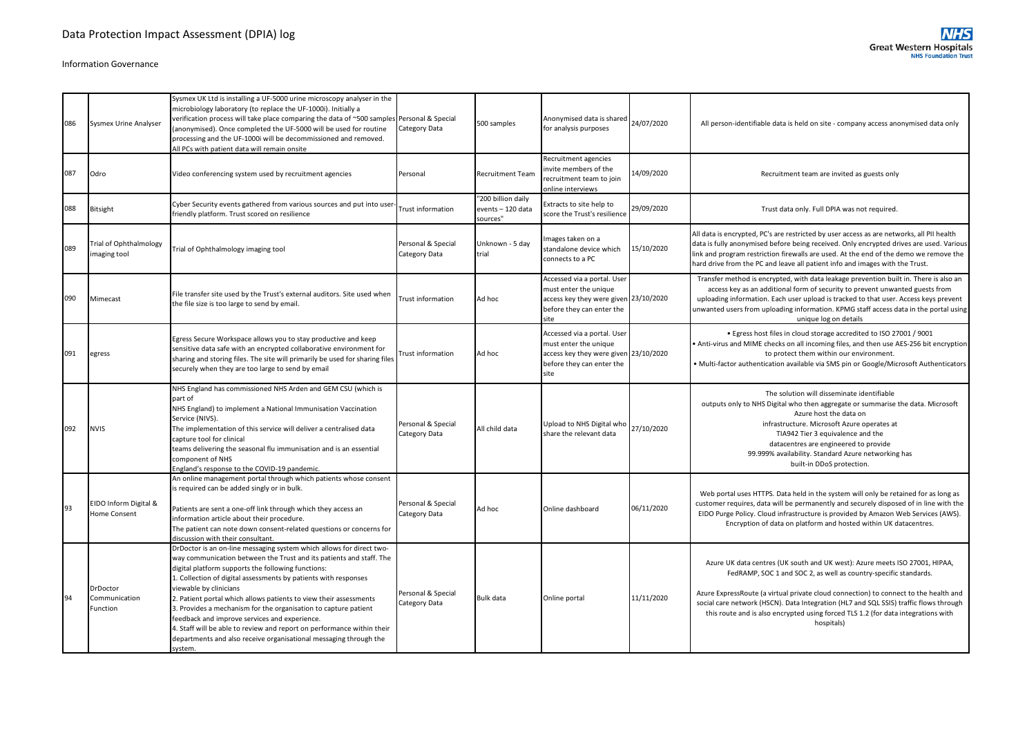| 086 | Sysmex Urine Analyser                  | Sysmex UK Ltd is installing a UF-5000 urine microscopy analyser in the<br>microbiology laboratory (to replace the UF-1000i). Initially a<br>verification process will take place comparing the data of ~500 samples<br>(anonymised). Once completed the UF-5000 will be used for routine<br>processing and the UF-1000i will be decommissioned and removed.<br>All PCs with patient data will remain onsite                                                                                                                                                                                                                                       | Personal & Special<br>Category Data | 500 samples                                         | Anonymised data is shared 24/07/2020<br>for analysis purposes                                                                      |            | All person-identifiable data is held on site - company access anonymised data only                                                                                                                                                                                                                                                                                                                                                  |
|-----|----------------------------------------|---------------------------------------------------------------------------------------------------------------------------------------------------------------------------------------------------------------------------------------------------------------------------------------------------------------------------------------------------------------------------------------------------------------------------------------------------------------------------------------------------------------------------------------------------------------------------------------------------------------------------------------------------|-------------------------------------|-----------------------------------------------------|------------------------------------------------------------------------------------------------------------------------------------|------------|-------------------------------------------------------------------------------------------------------------------------------------------------------------------------------------------------------------------------------------------------------------------------------------------------------------------------------------------------------------------------------------------------------------------------------------|
| 087 | Odro                                   | Video conferencing system used by recruitment agencies                                                                                                                                                                                                                                                                                                                                                                                                                                                                                                                                                                                            | Personal                            | Recruitment Team                                    | Recruitment agencies<br>invite members of the<br>recruitment team to join<br>online interviews                                     | 14/09/2020 | Recruitment team are invited as guests only                                                                                                                                                                                                                                                                                                                                                                                         |
| 088 | Bitsight                               | Cyber Security events gathered from various sources and put into user<br>friendly platform. Trust scored on resilience                                                                                                                                                                                                                                                                                                                                                                                                                                                                                                                            | <b>Trust information</b>            | "200 billion daily<br>events - 120 data<br>sources" | Extracts to site help to<br>score the Trust's resilience                                                                           | 29/09/2020 | Trust data only. Full DPIA was not required.                                                                                                                                                                                                                                                                                                                                                                                        |
| 089 | Trial of Ophthalmology<br>imaging tool | Trial of Ophthalmology imaging tool                                                                                                                                                                                                                                                                                                                                                                                                                                                                                                                                                                                                               | Personal & Special<br>Category Data | Unknown - 5 day<br>trial                            | Images taken on a<br>standalone device which<br>connects to a PC                                                                   | 15/10/2020 | All data is encrypted, PC's are restricted by user access as are networks, all PII health<br>data is fully anonymised before being received. Only encrypted drives are used. Various<br>link and program restriction firewalls are used. At the end of the demo we remove the<br>hard drive from the PC and leave all patient info and images with the Trust.                                                                       |
| 090 | Mimecast                               | File transfer site used by the Trust's external auditors. Site used when<br>the file size is too large to send by email.                                                                                                                                                                                                                                                                                                                                                                                                                                                                                                                          | <b>Trust information</b>            | Ad hoc                                              | Accessed via a portal. User<br>must enter the unique<br>access key they were given 23/10/2020<br>before they can enter the<br>site |            | Transfer method is encrypted, with data leakage prevention built in. There is also an<br>access key as an additional form of security to prevent unwanted guests from<br>uploading information. Each user upload is tracked to that user. Access keys prevent<br>unwanted users from uploading information. KPMG staff access data in the portal using<br>unique log on details                                                     |
| 091 | egress                                 | Egress Secure Workspace allows you to stay productive and keep<br>sensitive data safe with an encrypted collaborative environment for<br>sharing and storing files. The site will primarily be used for sharing files<br>securely when they are too large to send by email                                                                                                                                                                                                                                                                                                                                                                        | Trust information                   | Ad hoc                                              | Accessed via a portal. User<br>must enter the unique<br>access key they were given 23/10/2020<br>before they can enter the<br>site |            | . Egress host files in cloud storage accredited to ISO 27001 / 9001<br>Anti-virus and MIME checks on all incoming files, and then use AES-256 bit encryption<br>to protect them within our environment.<br>Multi-factor authentication available via SMS pin or Google/Microsoft Authenticators                                                                                                                                     |
| 092 | <b>NVIS</b>                            | NHS England has commissioned NHS Arden and GEM CSU (which is<br>part of<br>NHS England) to implement a National Immunisation Vaccination<br>Service (NIVS).<br>The implementation of this service will deliver a centralised data<br>capture tool for clinical<br>teams delivering the seasonal flu immunisation and is an essential<br>component of NHS<br>England's response to the COVID-19 pandemic.                                                                                                                                                                                                                                          | Personal & Special<br>Category Data | All child data                                      | Upload to NHS Digital who<br>share the relevant data                                                                               | 27/10/2020 | The solution will disseminate identifiable<br>outputs only to NHS Digital who then aggregate or summarise the data. Microsoft<br>Azure host the data on<br>infrastructure. Microsoft Azure operates at<br>TIA942 Tier 3 equivalence and the<br>datacentres are engineered to provide<br>99.999% availability. Standard Azure networking has<br>built-in DDoS protection.                                                            |
| 93  | EIDO Inform Digital &<br>Home Consent  | An online management portal through which patients whose consent<br>is required can be added singly or in bulk.<br>Patients are sent a one-off link through which they access an<br>information article about their procedure.<br>The patient can note down consent-related questions or concerns for<br>discussion with their consultant.                                                                                                                                                                                                                                                                                                        | Personal & Special<br>Category Data | Ad hoc                                              | Online dashboard                                                                                                                   | 06/11/2020 | Web portal uses HTTPS. Data held in the system will only be retained for as long as<br>customer requires, data will be permanently and securely disposed of in line with the<br>EIDO Purge Policy. Cloud infrastructure is provided by Amazon Web Services (AWS).<br>Encryption of data on platform and hosted within UK datacentres.                                                                                               |
| 94  | DrDoctor<br>Communication<br>Function  | DrDoctor is an on-line messaging system which allows for direct two-<br>way communication between the Trust and its patients and staff. The<br>digital platform supports the following functions:<br>1. Collection of digital assessments by patients with responses<br>viewable by clinicians<br>2. Patient portal which allows patients to view their assessments<br>3. Provides a mechanism for the organisation to capture patient<br>feedback and improve services and experience.<br>4. Staff will be able to review and report on performance within their<br>departments and also receive organisational messaging through the<br>svstem. | Personal & Special<br>Category Data | <b>Bulk data</b>                                    | Online portal                                                                                                                      | 11/11/2020 | Azure UK data centres (UK south and UK west): Azure meets ISO 27001, HIPAA,<br>FedRAMP, SOC 1 and SOC 2, as well as country-specific standards.<br>Azure ExpressRoute (a virtual private cloud connection) to connect to the health and<br>social care network (HSCN). Data Integration (HL7 and SQL SSIS) traffic flows through<br>this route and is also encrypted using forced TLS 1.2 (for data integrations with<br>hospitals) |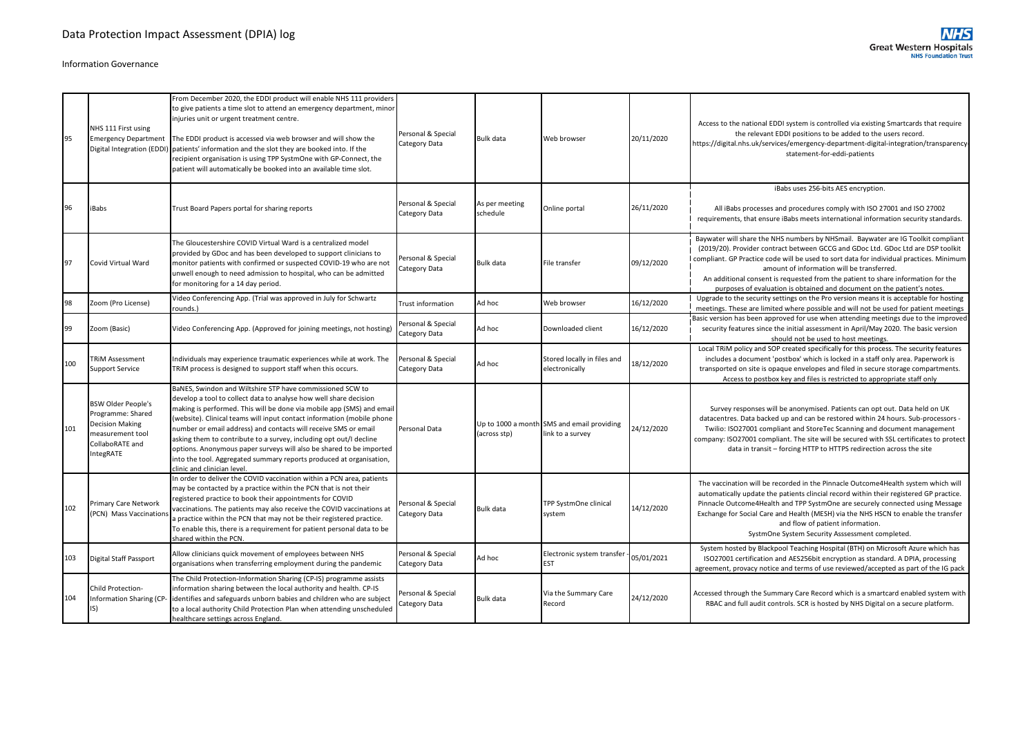| 95  | NHS 111 First using<br><b>Emergency Department</b><br>Digital Integration (EDDI)                               | From December 2020, the EDDI product will enable NHS 111 providers<br>to give patients a time slot to attend an emergency department, minor<br>injuries unit or urgent treatment centre.<br>The EDDI product is accessed via web browser and will show the<br>patients' information and the slot they are booked into. If the<br>recipient organisation is using TPP SystmOne with GP-Connect, the<br>patient will automatically be booked into an available time slot.                                                                                                                                | Personal & Special<br>Category Data | <b>Bulk data</b>           | Web browser                                                    | 20/11/2020 | Access to the national EDDI system is controlled via existing Smartcards that require<br>the relevant EDDI positions to be added to the users record.<br>https://digital.nhs.uk/services/emergency-department-digital-integration/transparency-<br>statement-for-eddi-patients                                                                                                                                                                                                |
|-----|----------------------------------------------------------------------------------------------------------------|--------------------------------------------------------------------------------------------------------------------------------------------------------------------------------------------------------------------------------------------------------------------------------------------------------------------------------------------------------------------------------------------------------------------------------------------------------------------------------------------------------------------------------------------------------------------------------------------------------|-------------------------------------|----------------------------|----------------------------------------------------------------|------------|-------------------------------------------------------------------------------------------------------------------------------------------------------------------------------------------------------------------------------------------------------------------------------------------------------------------------------------------------------------------------------------------------------------------------------------------------------------------------------|
| 96  | <b>iBabs</b>                                                                                                   | Trust Board Papers portal for sharing reports                                                                                                                                                                                                                                                                                                                                                                                                                                                                                                                                                          | Personal & Special<br>Category Data | As per meeting<br>schedule | Online portal                                                  | 26/11/2020 | iBabs uses 256-bits AES encryption.<br>All iBabs processes and procedures comply with ISO 27001 and ISO 27002<br>requirements, that ensure iBabs meets international information security standards.                                                                                                                                                                                                                                                                          |
| 97  | Covid Virtual Ward                                                                                             | The Gloucestershire COVID Virtual Ward is a centralized model<br>provided by GDoc and has been developed to support clinicians to<br>monitor patients with confirmed or suspected COVID-19 who are not<br>unwell enough to need admission to hospital, who can be admitted<br>for monitoring for a 14 day period.                                                                                                                                                                                                                                                                                      | Personal & Special<br>Category Data | <b>Bulk data</b>           | File transfer                                                  | 09/12/2020 | Baywater will share the NHS numbers by NHSmail. Baywater are IG Toolkit compliant<br>(2019/20). Provider contract between GCCG and GDoc Ltd. GDoc Ltd are DSP toolkit<br>compliant. GP Practice code will be used to sort data for individual practices. Minimum<br>amount of information will be transferred.<br>An additional consent is requested from the patient to share information for the<br>purposes of evaluation is obtained and document on the patient's notes. |
| 98  | Zoom (Pro License)                                                                                             | Video Conferencing App. (Trial was approved in July for Schwartz<br>rounds.)                                                                                                                                                                                                                                                                                                                                                                                                                                                                                                                           | <b>Trust information</b>            | Ad hoc                     | Web browser                                                    | 16/12/2020 | Upgrade to the security settings on the Pro version means it is acceptable for hosting<br>meetings. These are limited where possible and will not be used for patient meetings                                                                                                                                                                                                                                                                                                |
| 99  | Zoom (Basic)                                                                                                   | Video Conferencing App. (Approved for joining meetings, not hosting)                                                                                                                                                                                                                                                                                                                                                                                                                                                                                                                                   | Personal & Special<br>Category Data | Ad hoc                     | Downloaded client                                              | 16/12/2020 | Basic version has been approved for use when attending meetings due to the improved<br>security features since the initial assessment in April/May 2020. The basic version<br>should not be used to host meetings.                                                                                                                                                                                                                                                            |
| 100 | <b>TRIM Assessment</b><br><b>Support Service</b>                                                               | ndividuals may experience traumatic experiences while at work. The<br>TRIM process is designed to support staff when this occurs.                                                                                                                                                                                                                                                                                                                                                                                                                                                                      | Personal & Special<br>Category Data | Ad hoc                     | Stored locally in files and<br>electronically                  | 18/12/2020 | Local TRIM policy and SOP created specifically for this process. The security features<br>includes a document 'postbox' which is locked in a staff only area. Paperwork is<br>transported on site is opaque envelopes and filed in secure storage compartments.<br>Access to postbox key and files is restricted to appropriate staff only                                                                                                                                    |
| 101 | BSW Older People's<br>Programme: Shared<br>Decision Making<br>measurement tool<br>CollaboRATE and<br>IntegRATE | BaNES, Swindon and Wiltshire STP have commissioned SCW to<br>develop a tool to collect data to analyse how well share decision<br>making is performed. This will be done via mobile app (SMS) and email<br>website). Clinical teams will input contact information (mobile phone<br>number or email address) and contacts will receive SMS or email<br>asking them to contribute to a survey, including opt out/I decline<br>options. Anonymous paper surveys will also be shared to be imported<br>into the tool. Aggregated summary reports produced at organisation,<br>clinic and clinician level. | Personal Data                       | (across stp)               | Up to 1000 a month SMS and email providing<br>link to a survey | 24/12/2020 | Survey responses will be anonymised. Patients can opt out. Data held on UK<br>datacentres. Data backed up and can be restored within 24 hours. Sub-processors -<br>Twilio: ISO27001 compliant and StoreTec Scanning and document management<br>company: ISO27001 compliant. The site will be secured with SSL certificates to protect<br>data in transit - forcing HTTP to HTTPS redirection across the site                                                                  |
| 102 | Primary Care Network<br>(PCN) Mass Vaccination                                                                 | In order to deliver the COVID vaccination within a PCN area, patients<br>may be contacted by a practice within the PCN that is not their<br>registered practice to book their appointments for COVID<br>vaccinations. The patients may also receive the COVID vaccinations at<br>a practice within the PCN that may not be their registered practice.<br>To enable this, there is a requirement for patient personal data to be<br>shared within the PCN.                                                                                                                                              | Personal & Special<br>Category Data | Bulk data                  | TPP SystmOne clinical<br>system                                | 14/12/2020 | The vaccination will be recorded in the Pinnacle Outcome4Health system which will<br>automatically update the patients clincial record within their registered GP practice.<br>Pinnacle Outcome4Health and TPP SystmOne are securely connected using Message<br>Exchange for Social Care and Health (MESH) via the NHS HSCN to enable the transfer<br>and flow of patient information.<br>SystmOne System Security Asssessment completed.                                     |
| 103 | Digital Staff Passport                                                                                         | Allow clinicians quick movement of employees between NHS<br>organisations when transferring employment during the pandemic                                                                                                                                                                                                                                                                                                                                                                                                                                                                             | Personal & Special<br>Category Data | Ad hoc                     | Electronic system transfer<br><b>EST</b>                       | 05/01/2021 | System hosted by Blackpool Teaching Hospital (BTH) on Microsoft Azure which has<br>ISO27001 certification and AES256bit encryption as standard. A DPIA, processing<br>agreement, provacy notice and terms of use reviewed/accepted as part of the IG pack                                                                                                                                                                                                                     |
| 104 | Child Protection-<br>Information Sharing (CP<br>$ S\rangle$                                                    | The Child Protection-Information Sharing (CP-IS) programme assists<br>information sharing between the local authority and health. CP-IS<br>identifies and safeguards unborn babies and children who are subject<br>to a local authority Child Protection Plan when attending unscheduled<br>healthcare settings across England.                                                                                                                                                                                                                                                                        | Personal & Special<br>Category Data | Bulk data                  | Via the Summary Care<br>Record                                 | 24/12/2020 | Accessed through the Summary Care Record which is a smartcard enabled system with<br>RBAC and full audit controls. SCR is hosted by NHS Digital on a secure platform.                                                                                                                                                                                                                                                                                                         |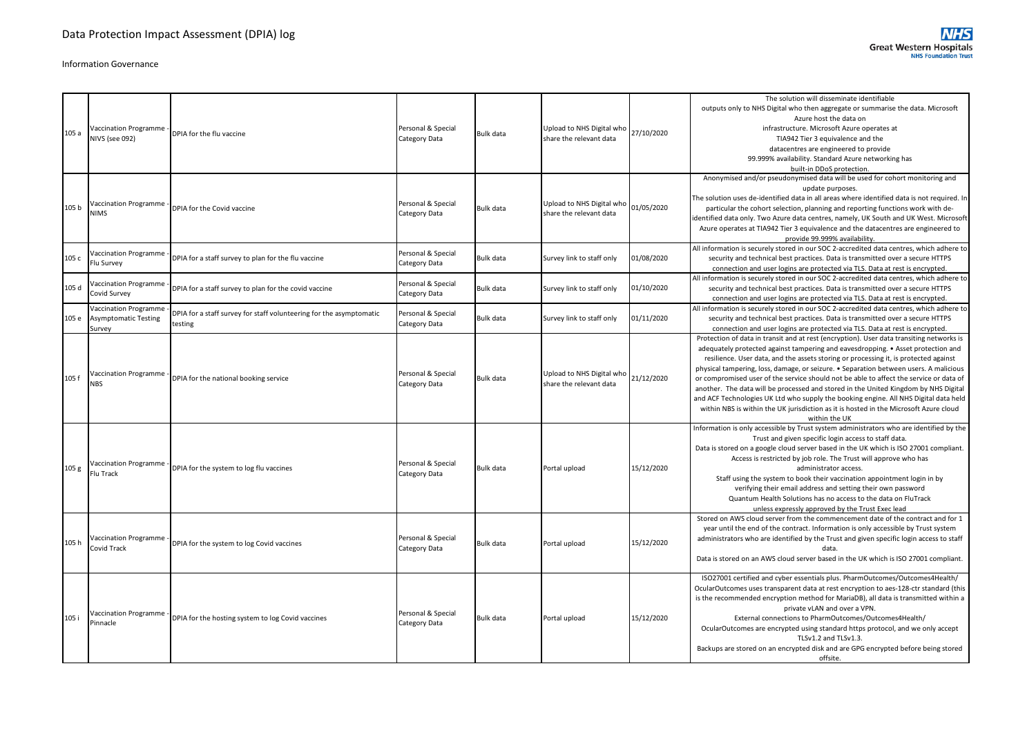|                  |                                                               |                                                                               |                                     |                  |                                                      |            | The solution will disseminate identifiable                                                                                                                                                                                                                                                                                                                                                                                                                                                                                                                                                                                                                                                                                                       |
|------------------|---------------------------------------------------------------|-------------------------------------------------------------------------------|-------------------------------------|------------------|------------------------------------------------------|------------|--------------------------------------------------------------------------------------------------------------------------------------------------------------------------------------------------------------------------------------------------------------------------------------------------------------------------------------------------------------------------------------------------------------------------------------------------------------------------------------------------------------------------------------------------------------------------------------------------------------------------------------------------------------------------------------------------------------------------------------------------|
| 105 a            | <b>Vaccination Programme</b><br>NIVS (see 092)                | DPIA for the flu vaccine                                                      | Personal & Special<br>Category Data | <b>Bulk data</b> | Upload to NHS Digital who<br>share the relevant data | 27/10/2020 | outputs only to NHS Digital who then aggregate or summarise the data. Microsoft<br>Azure host the data on<br>infrastructure. Microsoft Azure operates at<br>TIA942 Tier 3 equivalence and the<br>datacentres are engineered to provide<br>99.999% availability. Standard Azure networking has<br>built-in DDoS protection.                                                                                                                                                                                                                                                                                                                                                                                                                       |
| 105 b            | Vaccination Programme<br><b>NIMS</b>                          | DPIA for the Covid vaccine                                                    | Personal & Special<br>Category Data | <b>Bulk data</b> | Upload to NHS Digital who<br>share the relevant data | 01/05/2020 | Anonymised and/or pseudonymised data will be used for cohort monitoring and<br>update purposes.<br>The solution uses de-identified data in all areas where identified data is not required. In<br>particular the cohort selection, planning and reporting functions work with de-<br>identified data only. Two Azure data centres, namely, UK South and UK West. Microsoft<br>Azure operates at TIA942 Tier 3 equivalence and the datacentres are engineered to<br>provide 99.999% availability.                                                                                                                                                                                                                                                 |
| 105 c            | <b>Jaccination Programme</b><br>Flu Survey                    | DPIA for a staff survey to plan for the flu vaccine                           | Personal & Special<br>Category Data | <b>Bulk data</b> | Survey link to staff only                            | 01/08/2020 | All information is securely stored in our SOC 2-accredited data centres, which adhere to<br>security and technical best practices. Data is transmitted over a secure HTTPS<br>connection and user logins are protected via TLS. Data at rest is encrypted.                                                                                                                                                                                                                                                                                                                                                                                                                                                                                       |
| 105 d            | Vaccination Programme<br>Covid Survey                         | DPIA for a staff survey to plan for the covid vaccine                         | Personal & Special<br>Category Data | <b>Bulk data</b> | Survey link to staff only                            | 01/10/2020 | All information is securely stored in our SOC 2-accredited data centres, which adhere to<br>security and technical best practices. Data is transmitted over a secure HTTPS<br>connection and user logins are protected via TLS. Data at rest is encrypted.                                                                                                                                                                                                                                                                                                                                                                                                                                                                                       |
| 105 e            | Vaccination Programm<br><b>Asymptomatic Testing</b><br>Survey | DPIA for a staff survey for staff volunteering for the asymptomatic<br>esting | Personal & Special<br>Category Data | <b>Bulk data</b> | Survey link to staff only                            | 01/11/2020 | All information is securely stored in our SOC 2-accredited data centres, which adhere to<br>security and technical best practices. Data is transmitted over a secure HTTPS<br>connection and user logins are protected via TLS. Data at rest is encrypted.                                                                                                                                                                                                                                                                                                                                                                                                                                                                                       |
| 105 f            | Vaccination Programme<br><b>NBS</b>                           | DPIA for the national booking service                                         | Personal & Special<br>Category Data | <b>Bulk data</b> | Upload to NHS Digital who<br>share the relevant data | 21/12/2020 | Protection of data in transit and at rest (encryption). User data transiting networks is<br>adequately protected against tampering and eavesdropping. • Asset protection and<br>resilience. User data, and the assets storing or processing it, is protected against<br>physical tampering, loss, damage, or seizure. • Separation between users. A malicious<br>or compromised user of the service should not be able to affect the service or data of<br>another. The data will be processed and stored in the United Kingdom by NHS Digital<br>and ACF Technologies UK Ltd who supply the booking engine. All NHS Digital data held<br>within NBS is within the UK jurisdiction as it is hosted in the Microsoft Azure cloud<br>within the UK |
| 105 <sub>g</sub> | <b>Vaccination Programme</b><br>Flu Track                     | DPIA for the system to log flu vaccines                                       | Personal & Special<br>Category Data | <b>Bulk data</b> | Portal upload                                        | 15/12/2020 | Information is only accessible by Trust system administrators who are identified by the<br>Trust and given specific login access to staff data.<br>Data is stored on a google cloud server based in the UK which is ISO 27001 compliant.<br>Access is restricted by job role. The Trust will approve who has<br>administrator access.<br>Staff using the system to book their vaccination appointment login in by<br>verifying their email address and setting their own password<br>Quantum Health Solutions has no access to the data on FluTrack<br>unless expressly approved by the Trust Exec lead                                                                                                                                          |
| 105h             | Vaccination Programme<br>Covid Track                          | DPIA for the system to log Covid vaccines                                     | Personal & Special<br>Category Data | <b>Bulk data</b> | Portal upload                                        | 15/12/2020 | Stored on AWS cloud server from the commencement date of the contract and for 1<br>year until the end of the contract. Information is only accessible by Trust system<br>administrators who are identified by the Trust and given specific login access to staff<br>data.<br>Data is stored on an AWS cloud server based in the UK which is ISO 27001 compliant.                                                                                                                                                                                                                                                                                                                                                                                 |
| 105 i            | Vaccination Programme<br>Pinnacle                             | DPIA for the hosting system to log Covid vaccines                             | Personal & Special<br>Category Data | <b>Bulk data</b> | Portal upload                                        | 15/12/2020 | ISO27001 certified and cyber essentials plus. PharmOutcomes/Outcomes4Health/<br>OcularOutcomes uses transparent data at rest encryption to aes-128-ctr standard (this<br>is the recommended encryption method for MariaDB), all data is transmitted within a<br>private vLAN and over a VPN.<br>External connections to PharmOutcomes/Outcomes4Health/<br>OcularOutcomes are encrypted using standard https protocol, and we only accept<br>TLSv1.2 and TLSv1.3.<br>Backups are stored on an encrypted disk and are GPG encrypted before being stored<br>offsite.                                                                                                                                                                                |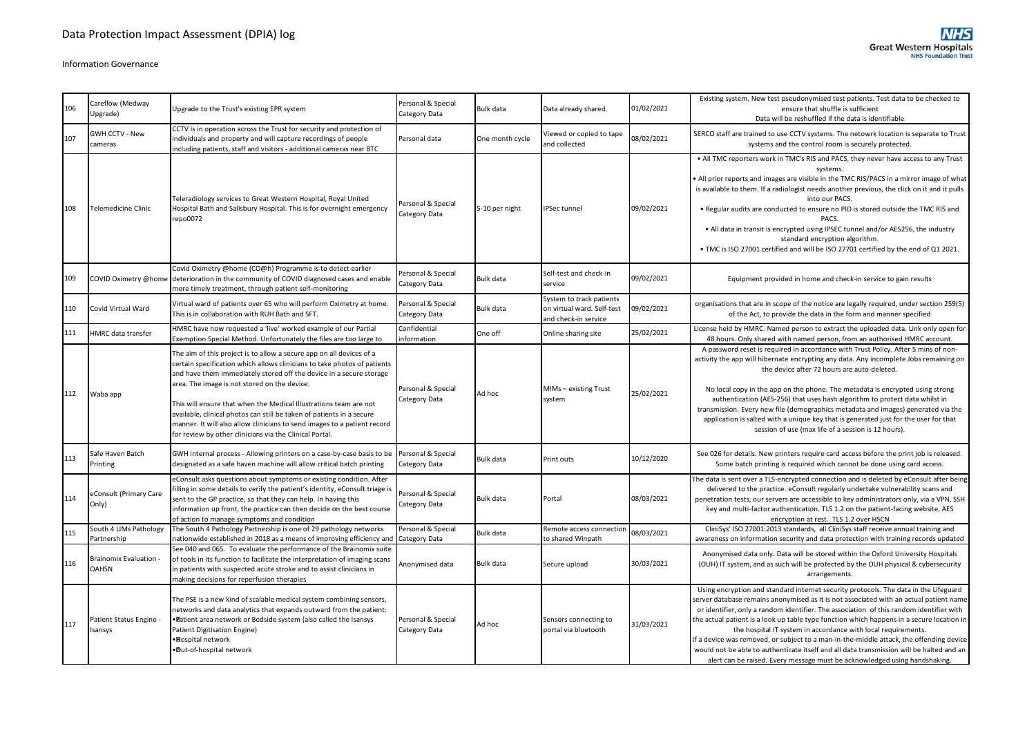| 106 | Careflow (Medway<br>Upgrade)                | Upgrade to the Trust's existing EPR system                                                                                                                                                                                                                                                                                                                                                                                                                                                                                                                   | Personal & Special<br>Category Data | Bulk data        | Data already shared.                                                           | 01/02/2021 | Existing system. New test pseudonymised test patients. Test data to be checked to<br>ensure that shuffle is sufficient<br>Data will be reshuffled if the data is identifiable                                                                                                                                                                                                                                                                                                                                                                                                                                                                                                                                |
|-----|---------------------------------------------|--------------------------------------------------------------------------------------------------------------------------------------------------------------------------------------------------------------------------------------------------------------------------------------------------------------------------------------------------------------------------------------------------------------------------------------------------------------------------------------------------------------------------------------------------------------|-------------------------------------|------------------|--------------------------------------------------------------------------------|------------|--------------------------------------------------------------------------------------------------------------------------------------------------------------------------------------------------------------------------------------------------------------------------------------------------------------------------------------------------------------------------------------------------------------------------------------------------------------------------------------------------------------------------------------------------------------------------------------------------------------------------------------------------------------------------------------------------------------|
| 107 | <b>GWH CCTV - New</b><br>cameras            | CCTV is in operation across the Trust for security and protection of<br>individuals and property and will capture recordings of people<br>including patients, staff and visitors - additional cameras near BTC                                                                                                                                                                                                                                                                                                                                               | Personal data                       | One month cycle  | Viewed or copied to tape<br>and collected                                      | 08/02/2021 | SERCO staff are trained to use CCTV systems. The netowrk location is separate to Trust<br>systems and the control room is securely protected.                                                                                                                                                                                                                                                                                                                                                                                                                                                                                                                                                                |
| 108 | Telemedicine Clinic                         | Teleradiology services to Great Western Hospital, Royal United<br>Hospital Bath and Salisbury Hospital. This is for overnight emergency<br>repo0072                                                                                                                                                                                                                                                                                                                                                                                                          | Personal & Special<br>Category Data | 5-10 per night   | <b>IPSec tunnel</b>                                                            | 09/02/2021 | • All TMC reporters work in TMC's RIS and PACS, they never have access to any Trust<br>systems.<br>All prior reports and images are visible in the TMC RIS/PACS in a mirror image of what<br>is available to them. If a radiologist needs another previous, the click on it and it pulls<br>into our PACS.<br>. Regular audits are conducted to ensure no PID is stored outside the TMC RIS and<br>PACS.<br>• All data in transit is encrypted using IPSEC tunnel and/or AES256, the industry<br>standard encryption algorithm.<br>. TMC is ISO 27001 certified and will be ISO 27701 certified by the end of Q1 2021.                                                                                       |
| 109 |                                             | Covid Oximetry @home (CO@h) Programme is to detect earlier<br>COVID Oximetry @home deterioration in the community of COVID diagnosed cases and enable<br>more timely treatment, through patient self-monitoring                                                                                                                                                                                                                                                                                                                                              | Personal & Special<br>Category Data | Bulk data        | Self-test and check-in<br>service                                              | 09/02/2021 | Equipment provided in home and check-in service to gain results                                                                                                                                                                                                                                                                                                                                                                                                                                                                                                                                                                                                                                              |
| 110 | Covid Virtual Ward                          | Virtual ward of patients over 65 who will perform Oximetry at home.<br>This is in collaboration with RUH Bath and SFT.                                                                                                                                                                                                                                                                                                                                                                                                                                       | Personal & Special<br>Category Data | Bulk data        | System to track patients<br>on virtual ward. Self-test<br>and check-in service | 09/02/2021 | organisations that are in scope of the notice are legally required, under section 259(5)<br>of the Act, to provide the data in the form and manner specified                                                                                                                                                                                                                                                                                                                                                                                                                                                                                                                                                 |
| 111 | HMRC data transfer                          | HMRC have now requested a 'live' worked example of our Partial<br>Exemption Special Method. Unfortunately the files are too large to                                                                                                                                                                                                                                                                                                                                                                                                                         | Confidential<br>information         | One off          | Online sharing site                                                            | 25/02/2021 | License held by HMRC. Named person to extract the uploaded data. Link only open for<br>48 hours. Only shared with named person, from an authorised HMRC account.                                                                                                                                                                                                                                                                                                                                                                                                                                                                                                                                             |
| 112 | Waba app                                    | The aim of this project is to allow a secure app on all devices of a<br>certain specification which allows clinicians to take photos of patients<br>and have them immediately stored off the device in a secure storage<br>area. The image is not stored on the device.<br>This will ensure that when the Medical Illustrations team are not<br>available, clinical photos can still be taken of patients in a secure<br>manner. It will also allow clinicians to send images to a patient record<br>for review by other clinicians via the Clinical Portal. | Personal & Special<br>Category Data | Ad hoc           | MIMs - existing Trust<br>system                                                | 25/02/2021 | A password reset is required in accordance with Trust Policy. After 5 mins of non-<br>activity the app will hibernate encrypting any data. Any incomplete Jobs remaining on<br>the device after 72 hours are auto-deleted.<br>No local copy in the app on the phone. The metadata is encrypted using strong<br>authentication (AES-256) that uses hash algorithm to protect data whilst in<br>transmission. Every new file (demographics metadata and images) generated via the<br>application is salted with a unique key that is generated just for the user for that<br>session of use (max life of a session is 12 hours).                                                                               |
| 113 | Safe Haven Batch<br>Printing                | GWH internal process - Allowing printers on a case-by-case basis to be<br>designated as a safe haven machine will allow critical batch printing                                                                                                                                                                                                                                                                                                                                                                                                              | Personal & Special<br>Category Data | <b>Bulk data</b> | Print outs                                                                     | 10/12/2020 | See 026 for details. New printers require card access before the print job is released.<br>Some batch printing is required which cannot be done using card access.                                                                                                                                                                                                                                                                                                                                                                                                                                                                                                                                           |
| 114 | eConsult (Primary Care<br>Only)             | eConsult asks questions about symptoms or existing condition. After<br>filling in some details to verify the patient's identity, eConsult triage is<br>sent to the GP practice, so that they can help. In having this<br>information up front, the practice can then decide on the best course<br>of action to manage symptoms and condition                                                                                                                                                                                                                 | Personal & Special<br>Category Data | Bulk data        | Portal                                                                         | 08/03/2021 | The data is sent over a TLS-encrypted connection and is deleted by eConsult after being<br>delivered to the practice. eConsult regularly undertake vulnerability scans and<br>penetration tests, our servers are accessible to key administrators only, via a VPN, SSH<br>key and multi-factor authentication. TLS 1.2 on the patient-facing website, AES<br>encryption at rest. TLS 1.2 over HSCN                                                                                                                                                                                                                                                                                                           |
| 115 | South 4 LIMs Pathology<br>Partnership       | The South 4 Pathology Partnership is one of 29 pathology networks<br>nationwide established in 2018 as a means of improving efficiency and                                                                                                                                                                                                                                                                                                                                                                                                                   | Personal & Special<br>Category Data | Bulk data        | Remote access connectior<br>to shared Winpath                                  | 08/03/2021 | CliniSys' ISO 27001:2013 standards, all CliniSys staff receive annual training and<br>awareness on information security and data protection with training records updated                                                                                                                                                                                                                                                                                                                                                                                                                                                                                                                                    |
| 116 | <b>Brainomix Evaluation</b><br><b>OAHSN</b> | See 040 and 065. To evaluate the performance of the Brainomix suite<br>of tools in its function to facilitate the interpretation of imaging scans<br>n patients with suspected acute stroke and to assist clinicians in<br>making decisions for reperfusion therapies                                                                                                                                                                                                                                                                                        | Anonymised data                     | <b>Bulk data</b> | Secure upload                                                                  | 30/03/2021 | Anonymised data only. Data will be stored within the Oxford University Hospitals<br>(OUH) IT system, and as such will be protected by the OUH physical & cybersecurity<br>arrangements.                                                                                                                                                                                                                                                                                                                                                                                                                                                                                                                      |
| 117 | Patient Status Engine<br>Isansys            | The PSE is a new kind of scalable medical system combining sensors,<br>networks and data analytics that expands outward from the patient:<br><b>Patient area network or Bedside system (also called the Isansys</b><br>Patient Digitisation Engine)<br>·Bospital network<br>.Dut-of-hospital network                                                                                                                                                                                                                                                         | Personal & Special<br>Category Data | Ad hoc           | Sensors connecting to<br>portal via bluetooth                                  | 31/03/2021 | Using encryption and standard internet security protocols. The data in the Lifeguard<br>server database remains anonymised as it is not associated with an actual patient name<br>or identifier, only a random identifier. The association of this random identifier with<br>the actual patient is a look up table type function which happens in a secure location in<br>the hospital IT system in accordance with local requirements.<br>If a device was removed, or subject to a man-in-the-middle attack, the offending device<br>would not be able to authenticate itself and all data transmission will be halted and an<br>alert can be raised. Every message must be acknowledged using handshaking. |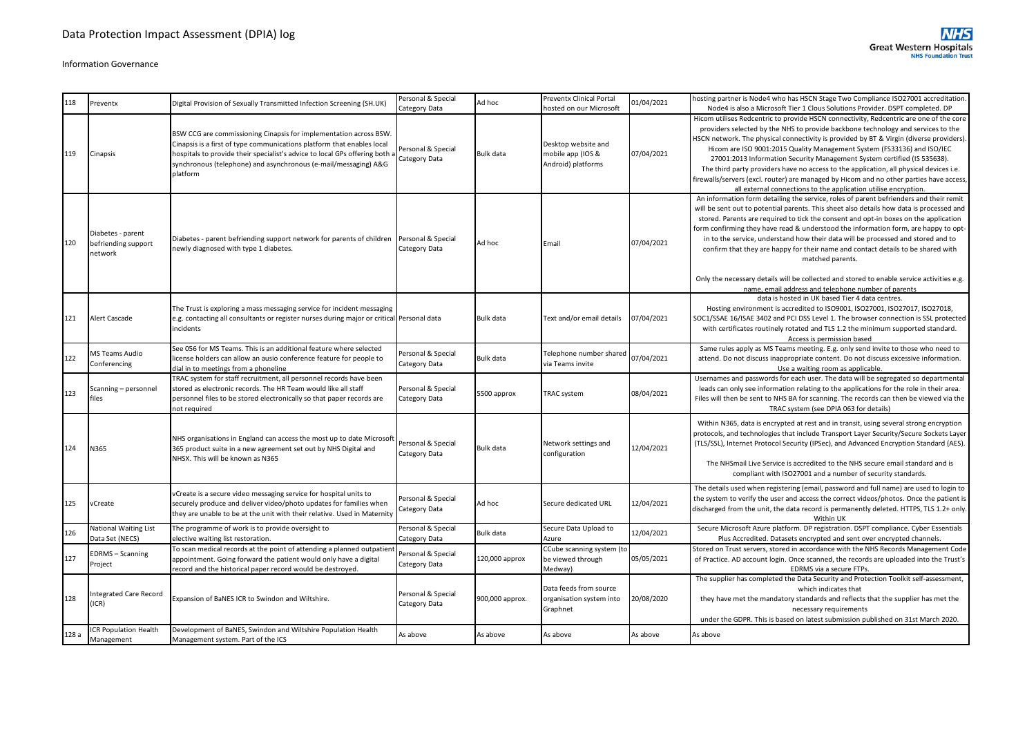|       |                                                     |                                                                                                                                                                                                                                                                                                           | Personal & Special                  |                 | <b>Preventx Clinical Portal</b>                                |            | hosting partner is Node4 who has HSCN Stage Two Compliance ISO27001 accreditation.                                                                                                                                                                                                                                                                                                                                                                                                                                                                                                                                                                                                                                |
|-------|-----------------------------------------------------|-----------------------------------------------------------------------------------------------------------------------------------------------------------------------------------------------------------------------------------------------------------------------------------------------------------|-------------------------------------|-----------------|----------------------------------------------------------------|------------|-------------------------------------------------------------------------------------------------------------------------------------------------------------------------------------------------------------------------------------------------------------------------------------------------------------------------------------------------------------------------------------------------------------------------------------------------------------------------------------------------------------------------------------------------------------------------------------------------------------------------------------------------------------------------------------------------------------------|
| 118   | Preventx                                            | Digital Provision of Sexually Transmitted Infection Screening (SH.UK)                                                                                                                                                                                                                                     | Category Data                       | Ad hoc          | hosted on our Microsoft                                        | 01/04/2021 | Node4 is also a Microsoft Tier 1 Clous Solutions Provider. DSPT completed. DP                                                                                                                                                                                                                                                                                                                                                                                                                                                                                                                                                                                                                                     |
| 119   | Cinapsis                                            | BSW CCG are commissioning Cinapsis for implementation across BSW.<br>Cinapsis is a first of type communications platform that enables local<br>hospitals to provide their specialist's advice to local GPs offering both a<br>synchronous (telephone) and asynchronous (e-mail/messaging) A&G<br>platform | Personal & Special<br>Category Data | Bulk data       | Desktop website and<br>mobile app (IOS &<br>Android) platforms | 07/04/2021 | Hicom utilises Redcentric to provide HSCN connectivity, Redcentric are one of the core<br>providers selected by the NHS to provide backbone technology and services to the<br>HSCN network. The physical connectivity is provided by BT & Virgin (diverse providers).<br>Hicom are ISO 9001:2015 Quality Management System (FS33136) and ISO/IEC<br>27001:2013 Information Security Management System certified (IS 535638).<br>The third party providers have no access to the application, all physical devices i.e.<br>firewalls/servers (excl. router) are managed by Hicom and no other parties have access,<br>all external connections to the application utilise encryption.                              |
| 120   | Diabetes - parent<br>befriending support<br>network | Diabetes - parent befriending support network for parents of children<br>newly diagnosed with type 1 diabetes.                                                                                                                                                                                            | Personal & Special<br>Category Data | Ad hoc          | Email                                                          | 07/04/2021 | An information form detailing the service, roles of parent befrienders and their remit<br>will be sent out to potential parents. This sheet also details how data is processed and<br>stored. Parents are required to tick the consent and opt-in boxes on the application<br>form confirming they have read & understood the information form, are happy to opt-<br>in to the service, understand how their data will be processed and stored and to<br>confirm that they are happy for their name and contact details to be shared with<br>matched parents.<br>Only the necessary details will be collected and stored to enable service activities e.g.<br>name, email address and telephone number of parents |
| 121   | Alert Cascade                                       | The Trust is exploring a mass messaging service for incident messaging<br>e.g. contacting all consultants or register nurses during major or critical Personal data<br>incidents                                                                                                                          |                                     | Bulk data       | Text and/or email details                                      | 07/04/2021 | data is hosted in UK based Tier 4 data centres.<br>Hosting environment is accredited to ISO9001, ISO27001, ISO27017, ISO27018,<br>SOC1/SSAE 16/ISAE 3402 and PCI DSS Level 1. The browser connection is SSL protected<br>with certificates routinely rotated and TLS 1.2 the minimum supported standard.<br>Access is permission based                                                                                                                                                                                                                                                                                                                                                                            |
| 122   | MS Teams Audio<br>Conferencing                      | See 056 for MS Teams. This is an additional feature where selected<br>license holders can allow an ausio conference feature for people to<br>dial in to meetings from a phoneline                                                                                                                         | Personal & Special<br>Category Data | Bulk data       | Telephone number shared<br>via Teams invite                    | 07/04/2021 | Same rules apply as MS Teams meeting. E.g. only send invite to those who need to<br>attend. Do not discuss inappropriate content. Do not discuss excessive information.<br>Use a waiting room as applicable.                                                                                                                                                                                                                                                                                                                                                                                                                                                                                                      |
| 123   | Scanning - personnel<br>files                       | TRAC system for staff recruitment, all personnel records have been<br>stored as electronic records. The HR Team would like all staff<br>personnel files to be stored electronically so that paper records are<br>not required                                                                             | Personal & Special<br>Category Data | 5500 approx     | <b>TRAC</b> system                                             | 08/04/2021 | Usernames and passwords for each user. The data will be segregated so departmental<br>leads can only see information relating to the applications for the role in their area.<br>Files will then be sent to NHS BA for scanning. The records can then be viewed via the<br>TRAC system (see DPIA 063 for details)                                                                                                                                                                                                                                                                                                                                                                                                 |
| 124   | N365                                                | NHS organisations in England can access the most up to date Microsoft<br>365 product suite in a new agreement set out by NHS Digital and<br>NHSX. This will be known as N365                                                                                                                              | Personal & Special<br>Category Data | Bulk data       | Network settings and<br>configuration                          | 12/04/2021 | Within N365, data is encrypted at rest and in transit, using several strong encryption<br>protocols, and technologies that include Transport Layer Security/Secure Sockets Layer<br>(TLS/SSL), Internet Protocol Security (IPSec), and Advanced Encryption Standard (AES).<br>The NHSmail Live Service is accredited to the NHS secure email standard and is<br>compliant with ISO27001 and a number of security standards.                                                                                                                                                                                                                                                                                       |
| 125   | vCreate                                             | vCreate is a secure video messaging service for hospital units to<br>securely produce and deliver video/photo updates for families when<br>they are unable to be at the unit with their relative. Used in Maternity                                                                                       | Personal & Special<br>Category Data | Ad hoc          | Secure dedicated URL                                           | 12/04/2021 | The details used when registering (email, password and full name) are used to login to<br>the system to verify the user and access the correct videos/photos. Once the patient is<br>discharged from the unit, the data record is permanently deleted. HTTPS, TLS 1.2+ only.<br>Within UK                                                                                                                                                                                                                                                                                                                                                                                                                         |
| 126   | National Waiting List<br>Data Set (NECS)            | The programme of work is to provide oversight to<br>elective waiting list restoration.                                                                                                                                                                                                                    | Personal & Special<br>Category Data | Bulk data       | Secure Data Upload to<br>Azure                                 | 12/04/2021 | Secure Microsoft Azure platform. DP registration. DSPT compliance. Cyber Essentials<br>Plus Accredited. Datasets encrypted and sent over encrypted channels.                                                                                                                                                                                                                                                                                                                                                                                                                                                                                                                                                      |
| 127   | <b>EDRMS</b> - Scanning<br>Project                  | To scan medical records at the point of attending a planned outpatien<br>appointment. Going forward the patient would only have a digital<br>record and the historical paper record would be destroyed.                                                                                                   | Personal & Special<br>Category Data | 120,000 approx  | CCube scanning system (to<br>be viewed through<br>Medway)      | 05/05/2021 | Stored on Trust servers, stored in accordance with the NHS Records Management Code<br>of Practice. AD account login. Once scanned, the records are uploaded into the Trust's<br>EDRMS via a secure FTPs.                                                                                                                                                                                                                                                                                                                                                                                                                                                                                                          |
| 128   | Integrated Care Record<br>(ICR)                     | Expansion of BaNES ICR to Swindon and Wiltshire.                                                                                                                                                                                                                                                          | Personal & Special<br>Category Data | 900,000 approx. | Data feeds from source<br>organisation system into<br>Graphnet | 20/08/2020 | The supplier has completed the Data Security and Protection Toolkit self-assessment,<br>which indicates that<br>they have met the mandatory standards and reflects that the supplier has met the<br>necessary requirements<br>under the GDPR. This is based on latest submission published on 31st March 2020.                                                                                                                                                                                                                                                                                                                                                                                                    |
| 128 a | ICR Population Health<br>Management                 | Development of BaNES, Swindon and Wiltshire Population Health<br>Management system. Part of the ICS                                                                                                                                                                                                       | As above                            | As above        | As above                                                       | As above   | As above                                                                                                                                                                                                                                                                                                                                                                                                                                                                                                                                                                                                                                                                                                          |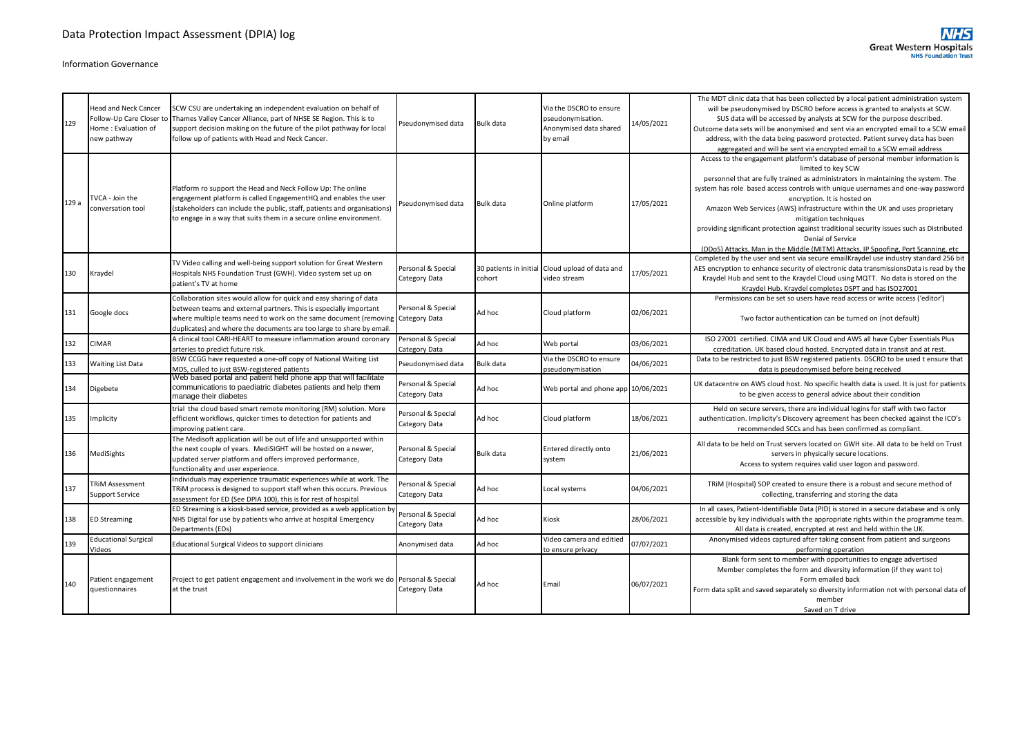| 129   | <b>Head and Neck Cancer</b><br>Follow-Up Care Closer to<br>Home: Evaluation of<br>new pathway | SCW CSU are undertaking an independent evaluation on behalf of<br>Thames Valley Cancer Alliance, part of NHSE SE Region. This is to<br>support decision making on the future of the pilot pathway for local<br>follow up of patients with Head and Neck Cancer.                                   | Pseudonymised data                  | <b>Bulk data</b>                 | Via the DSCRO to ensure<br>pseudonymisation.<br>Anonymised data shared<br>by email | 14/05/2021 | The MDT clinic data that has been collected by a local patient administration system<br>will be pseudonymised by DSCRO before access is granted to analysts at SCW.<br>SUS data will be accessed by analysts at SCW for the purpose described.<br>Outcome data sets will be anonymised and sent via an encrypted email to a SCW email<br>address, with the data being password protected. Patient survey data has been<br>aggregated and will be sent via encrypted email to a SCW email address                                                                                                                           |
|-------|-----------------------------------------------------------------------------------------------|---------------------------------------------------------------------------------------------------------------------------------------------------------------------------------------------------------------------------------------------------------------------------------------------------|-------------------------------------|----------------------------------|------------------------------------------------------------------------------------|------------|----------------------------------------------------------------------------------------------------------------------------------------------------------------------------------------------------------------------------------------------------------------------------------------------------------------------------------------------------------------------------------------------------------------------------------------------------------------------------------------------------------------------------------------------------------------------------------------------------------------------------|
| 129 a | TVCA - Join the<br>conversation tool                                                          | Platform ro support the Head and Neck Follow Up: The online<br>engagement platform is called EngagementHQ and enables the user<br>(stakeholders can include the public, staff, patients and organisations)<br>to engage in a way that suits them in a secure online environment.                  | Pseudonymised data                  | <b>Bulk data</b>                 | Online platform                                                                    | 17/05/2021 | Access to the engagement platform's database of personal member information is<br>limited to key SCW<br>personnel that are fully trained as administrators in maintaining the system. The<br>system has role based access controls with unique usernames and one-way password<br>encryption. It is hosted on<br>Amazon Web Services (AWS) infrastructure within the UK and uses proprietary<br>mitigation techniques<br>providing significant protection against traditional security issues such as Distributed<br>Denial of Service<br>(DDoS) Attacks, Man in the Middle (MITM) Attacks, IP Spoofing, Port Scanning, etc |
| 130   | Kraydel                                                                                       | TV Video calling and well-being support solution for Great Western<br>Hospitals NHS Foundation Trust (GWH). Video system set up on<br>patient's TV at home                                                                                                                                        | Personal & Special<br>Category Data | 30 patients in initial<br>cohort | Cloud upload of data and<br>video stream                                           | 17/05/2021 | Completed by the user and sent via secure emailKraydel use industry standard 256 bit<br>AES encryption to enhance security of electronic data transmissionsData is read by the<br>Kraydel Hub and sent to the Kraydel Cloud using MQTT. No data is stored on the<br>Kraydel Hub. Kraydel completes DSPT and has ISO27001                                                                                                                                                                                                                                                                                                   |
| 131   | Google docs                                                                                   | Collaboration sites would allow for quick and easy sharing of data<br>between teams and external partners. This is especially important<br>where multiple teams need to work on the same document (removing Category Data<br>duplicates) and where the documents are too large to share by email. | Personal & Special                  | Ad hoc                           | Cloud platform                                                                     | 02/06/2021 | Permissions can be set so users have read access or write access ('editor')<br>Two factor authentication can be turned on (not default)                                                                                                                                                                                                                                                                                                                                                                                                                                                                                    |
| 132   | <b>CIMAR</b>                                                                                  | A clinical tool CARI-HEART to measure inflammation around coronary<br>arteries to predict future risk.                                                                                                                                                                                            | Personal & Special<br>Category Data | Ad hoc                           | Web portal                                                                         | 03/06/2021 | ISO 27001 certified. CIMA and UK Cloud and AWS all have Cyber Essentials Plus<br>ccreditation. UK based cloud hosted. Encrypted data in transit and at rest.                                                                                                                                                                                                                                                                                                                                                                                                                                                               |
| 133   | <b>Waiting List Data</b>                                                                      | BSW CCGG have requested a one-off copy of National Waiting List<br>MDS, culled to just BSW-registered patients                                                                                                                                                                                    | Pseudonymised data                  | <b>Bulk data</b>                 | Via the DSCRO to ensure<br>oseudonymisation                                        | 04/06/2021 | Data to be restricted to just BSW registered patients. DSCRO to be used t ensure that<br>data is pseudonymised before being received                                                                                                                                                                                                                                                                                                                                                                                                                                                                                       |
| 134   | Digebete                                                                                      | Web based portal and patient held phone app that will facilitate<br>communications to paediatric diabetes patients and help them<br>manage their diabetes                                                                                                                                         | Personal & Special<br>Category Data | Ad hoc                           | Web portal and phone app 10/06/2021                                                |            | UK datacentre on AWS cloud host. No specific health data is used. It is just for patients<br>to be given access to general advice about their condition                                                                                                                                                                                                                                                                                                                                                                                                                                                                    |
| 135   | Implicity                                                                                     | trial the cloud based smart remote monitoring (RM) solution. More<br>efficient workflows, quicker times to detection for patients and<br>improving patient care.                                                                                                                                  | Personal & Special<br>Category Data | Ad hoc                           | Cloud platform                                                                     | 18/06/2021 | Held on secure servers, there are individual logins for staff with two factor<br>authentication. Implicity's Discovery agreement has been checked against the ICO's<br>recommended SCCs and has been confirmed as compliant.                                                                                                                                                                                                                                                                                                                                                                                               |
| 136   | MediSights                                                                                    | The Medisoft application will be out of life and unsupported within<br>the next couple of years. MediSIGHT will be hosted on a newer,<br>updated server platform and offers improved performance,<br>functionality and user experience.                                                           | Personal & Special<br>Category Data | <b>Bulk data</b>                 | Entered directly onto<br>system                                                    | 21/06/2021 | All data to be held on Trust servers located on GWH site. All data to be held on Trust<br>servers in physically secure locations.<br>Access to system requires valid user logon and password.                                                                                                                                                                                                                                                                                                                                                                                                                              |
| 137   | <b>TRIM Assessment</b><br><b>Support Service</b>                                              | Individuals may experience traumatic experiences while at work. The<br>TRIM process is designed to support staff when this occurs. Previous<br>assessment for ED (See DPIA 100), this is for rest of hospital                                                                                     | Personal & Special<br>Category Data | Ad hoc                           | Local systems                                                                      | 04/06/2021 | TRIM (Hospital) SOP created to ensure there is a robust and secure method of<br>collecting, transferring and storing the data                                                                                                                                                                                                                                                                                                                                                                                                                                                                                              |
| 138   | <b>ED Streaming</b>                                                                           | ED Streaming is a kiosk-based service, provided as a web application by<br>NHS Digital for use by patients who arrive at hospital Emergency<br>Departments (EDs)                                                                                                                                  | Personal & Special<br>Category Data | Ad hoc                           | Kiosk                                                                              | 28/06/2021 | In all cases, Patient-Identifiable Data (PID) is stored in a secure database and is only<br>accessible by key individuals with the appropriate rights within the programme team.<br>All data is created, encrypted at rest and held within the UK.                                                                                                                                                                                                                                                                                                                                                                         |
| 139   | <b>Educational Surgical</b><br>Videos                                                         | Educational Surgical Videos to support clinicians                                                                                                                                                                                                                                                 | Anonymised data                     | Ad hoc                           | Video camera and editied<br>to ensure privacy                                      | 07/07/2021 | Anonymised videos captured after taking consent from patient and surgeons<br>performing operation                                                                                                                                                                                                                                                                                                                                                                                                                                                                                                                          |
| 140   | Patient engagement<br>questionnaires                                                          | Project to get patient engagement and involvement in the work we do Personal & Special<br>at the trust                                                                                                                                                                                            | Category Data                       | Ad hoc                           | Email                                                                              | 06/07/2021 | Blank form sent to member with opportunities to engage advertised<br>Member completes the form and diversity information (if they want to)<br>Form emailed back<br>Form data split and saved separately so diversity information not with personal data of<br>member<br>Saved on T drive                                                                                                                                                                                                                                                                                                                                   |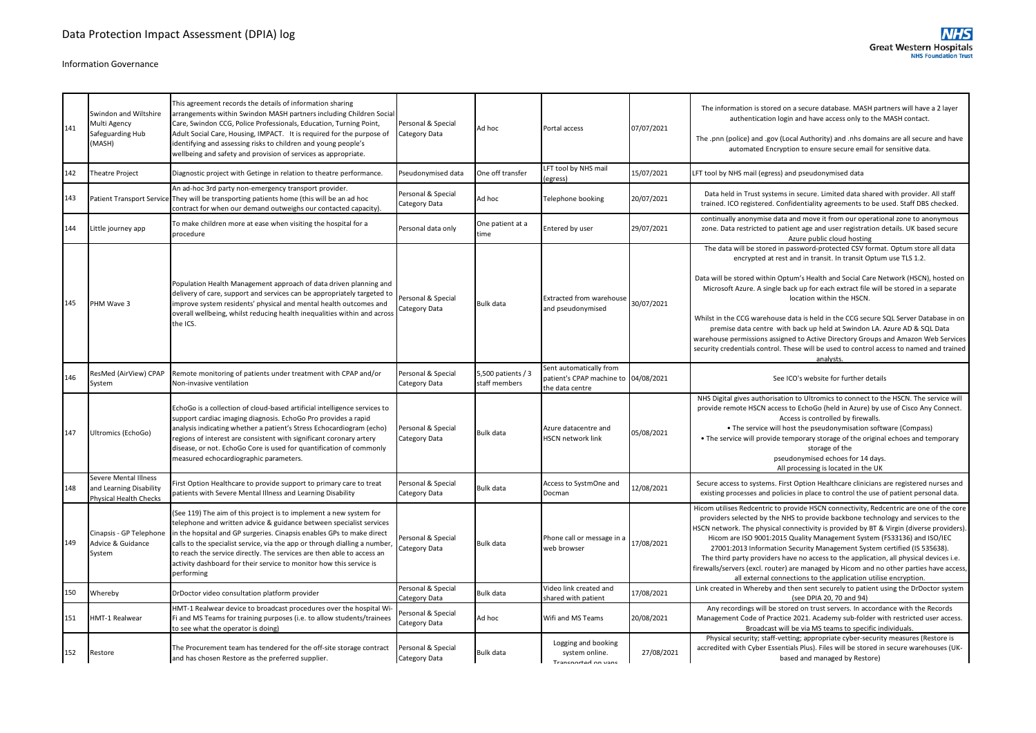| 141 | Swindon and Wiltshire<br>Multi Agency<br>Safeguarding Hub<br>(MASH)               | This agreement records the details of information sharing<br>arrangements within Swindon MASH partners including Children Social<br>Care, Swindon CCG, Police Professionals, Education, Turning Point,<br>Adult Social Care, Housing, IMPACT. It is required for the purpose of<br>identifying and assessing risks to children and young people's<br>wellbeing and safety and provision of services as appropriate.                                             | Personal & Special<br>Category Data | Ad hoc                              | Portal access                                                                      | 07/07/2021 | The information is stored on a secure database. MASH partners will have a 2 layer<br>authentication login and have access only to the MASH contact.<br>The .pnn (police) and .gov (Local Authority) and .nhs domains are all secure and have<br>automated Encryption to ensure secure email for sensitive data.                                                                                                                                                                                                                                                                                                                                                                                                                |
|-----|-----------------------------------------------------------------------------------|-----------------------------------------------------------------------------------------------------------------------------------------------------------------------------------------------------------------------------------------------------------------------------------------------------------------------------------------------------------------------------------------------------------------------------------------------------------------|-------------------------------------|-------------------------------------|------------------------------------------------------------------------------------|------------|--------------------------------------------------------------------------------------------------------------------------------------------------------------------------------------------------------------------------------------------------------------------------------------------------------------------------------------------------------------------------------------------------------------------------------------------------------------------------------------------------------------------------------------------------------------------------------------------------------------------------------------------------------------------------------------------------------------------------------|
| 142 | <b>Theatre Project</b>                                                            | Diagnostic project with Getinge in relation to theatre performance.                                                                                                                                                                                                                                                                                                                                                                                             | Pseudonymised data                  | One off transfer                    | LFT tool by NHS mail<br>(egress)                                                   | 15/07/2021 | LFT tool by NHS mail (egress) and pseudonymised data                                                                                                                                                                                                                                                                                                                                                                                                                                                                                                                                                                                                                                                                           |
| 143 |                                                                                   | An ad-hoc 3rd party non-emergency transport provider.<br>Patient Transport Service They will be transporting patients home (this will be an ad hoc<br>contract for when our demand outweighs our contacted capacity).                                                                                                                                                                                                                                           | Personal & Special<br>Category Data | Ad hoc                              | Telephone booking                                                                  | 20/07/2021 | Data held in Trust systems in secure. Limited data shared with provider. All staff<br>trained. ICO registered. Confidentiality agreements to be used. Staff DBS checked.                                                                                                                                                                                                                                                                                                                                                                                                                                                                                                                                                       |
| 144 | Little journey app                                                                | To make children more at ease when visiting the hospital for a<br>procedure                                                                                                                                                                                                                                                                                                                                                                                     | Personal data only                  | One patient at a<br>time            | Entered by user                                                                    | 29/07/2021 | continually anonymise data and move it from our operational zone to anonymous<br>zone. Data restricted to patient age and user registration details. UK based secure<br>Azure public cloud hosting                                                                                                                                                                                                                                                                                                                                                                                                                                                                                                                             |
| 145 | PHM Wave 3                                                                        | Population Health Management approach of data driven planning and<br>delivery of care, support and services can be appropriately targeted to<br>improve system residents' physical and mental health outcomes and<br>overall wellbeing, whilst reducing health inequalities within and across<br>the ICS.                                                                                                                                                       | Personal & Special<br>Category Data | <b>Bulk data</b>                    | Extracted from warehouse<br>and pseudonymised                                      | 30/07/2021 | The data will be stored in password-protected CSV format. Optum store all data<br>encrypted at rest and in transit. In transit Optum use TLS 1.2.<br>Data will be stored within Optum's Health and Social Care Network (HSCN), hosted on<br>Microsoft Azure. A single back up for each extract file will be stored in a separate<br>location within the HSCN.<br>Whilst in the CCG warehouse data is held in the CCG secure SQL Server Database in on<br>premise data centre with back up held at Swindon LA. Azure AD & SQL Data<br>warehouse permissions assigned to Active Directory Groups and Amazon Web Services<br>security credentials control. These will be used to control access to named and trained<br>analysts. |
| 146 | ResMed (AirView) CPAP<br>System                                                   | Remote monitoring of patients under treatment with CPAP and/or<br>Non-invasive ventilation                                                                                                                                                                                                                                                                                                                                                                      | Personal & Special<br>Category Data | 5,500 patients / 3<br>staff members | Sent automatically from<br>patient's CPAP machine to 04/08/2021<br>the data centre |            | See ICO's website for further details                                                                                                                                                                                                                                                                                                                                                                                                                                                                                                                                                                                                                                                                                          |
| 147 | Ultromics (EchoGo)                                                                | EchoGo is a collection of cloud-based artificial intelligence services to<br>support cardiac imaging diagnosis. EchoGo Pro provides a rapid<br>analysis indicating whether a patient's Stress Echocardiogram (echo)<br>regions of interest are consistent with significant coronary artery<br>disease, or not. EchoGo Core is used for quantification of commonly<br>measured echocardiographic parameters.                                                     | Personal & Special<br>Category Data | <b>Bulk data</b>                    | Azure datacentre and<br><b>HSCN network link</b>                                   | 05/08/2021 | NHS Digital gives authorisation to Ultromics to connect to the HSCN. The service will<br>provide remote HSCN access to EchoGo (held in Azure) by use of Cisco Any Connect.<br>Access is controlled by firewalls.<br>. The service will host the pseudonymisation software (Compass)<br>• The service will provide temporary storage of the original echoes and temporary<br>storage of the<br>pseudonymised echoes for 14 days.<br>All processing is located in the UK                                                                                                                                                                                                                                                         |
| 148 | Severe Mental Illness<br>and Learning Disability<br><b>Physical Health Checks</b> | First Option Healthcare to provide support to primary care to treat<br>patients with Severe Mental Illness and Learning Disability                                                                                                                                                                                                                                                                                                                              | Personal & Special<br>Category Data | <b>Bulk data</b>                    | Access to SystmOne and<br>Docman                                                   | 12/08/2021 | Secure access to systems. First Option Healthcare clinicians are registered nurses and<br>existing processes and policies in place to control the use of patient personal data.                                                                                                                                                                                                                                                                                                                                                                                                                                                                                                                                                |
| 149 | Cinapsis - GP Telephone<br>Advice & Guidance<br>System                            | (See 119) The aim of this project is to implement a new system for<br>telephone and written advice & guidance between specialist services<br>in the hopsital and GP surgeries. Cinapsis enables GPs to make direct<br>calls to the specialist service, via the app or through dialling a number,<br>to reach the service directly. The services are then able to access an<br>activity dashboard for their service to monitor how this service is<br>performing | Personal & Special<br>Category Data | <b>Bulk data</b>                    | Phone call or message in a<br>web browser                                          | 17/08/2021 | Hicom utilises Redcentric to provide HSCN connectivity, Redcentric are one of the core<br>providers selected by the NHS to provide backbone technology and services to the<br>HSCN network. The physical connectivity is provided by BT & Virgin (diverse providers).<br>Hicom are ISO 9001:2015 Quality Management System (FS33136) and ISO/IEC<br>27001:2013 Information Security Management System certified (IS 535638).<br>The third party providers have no access to the application, all physical devices i.e.<br>firewalls/servers (excl. router) are managed by Hicom and no other parties have access,<br>all external connections to the application utilise encryption.                                           |
| 150 | Whereby                                                                           | DrDoctor video consultation platform provider                                                                                                                                                                                                                                                                                                                                                                                                                   | Personal & Special<br>Category Data | <b>Bulk data</b>                    | Video link created and<br>shared with patient                                      | 17/08/2021 | Link created in Whereby and then sent securely to patient using the DrDoctor system<br>(see DPIA 20, 70 and 94)                                                                                                                                                                                                                                                                                                                                                                                                                                                                                                                                                                                                                |
| 151 | HMT-1 Realwear                                                                    | HMT-1 Realwear device to broadcast procedures over the hospital Wi-<br>Fi and MS Teams for training purposes (i.e. to allow students/trainees<br>to see what the operator is doing)                                                                                                                                                                                                                                                                             | Personal & Special<br>Category Data | Ad hoc                              | Wifi and MS Teams                                                                  | 20/08/2021 | Any recordings will be stored on trust servers. In accordance with the Records<br>Management Code of Practice 2021. Academy sub-folder with restricted user access.<br>Broadcast will be via MS teams to specific individuals.                                                                                                                                                                                                                                                                                                                                                                                                                                                                                                 |
| 152 | Restore                                                                           | The Procurement team has tendered for the off-site storage contract<br>and has chosen Restore as the preferred supplier.                                                                                                                                                                                                                                                                                                                                        | Personal & Special<br>Category Data | <b>Bulk data</b>                    | Logging and booking<br>system online.<br>Transnorted on vans                       | 27/08/2021 | Physical security; staff-vetting; appropriate cyber-security measures (Restore is<br>accredited with Cyber Essentials Plus). Files will be stored in secure warehouses (UK-<br>based and managed by Restore)                                                                                                                                                                                                                                                                                                                                                                                                                                                                                                                   |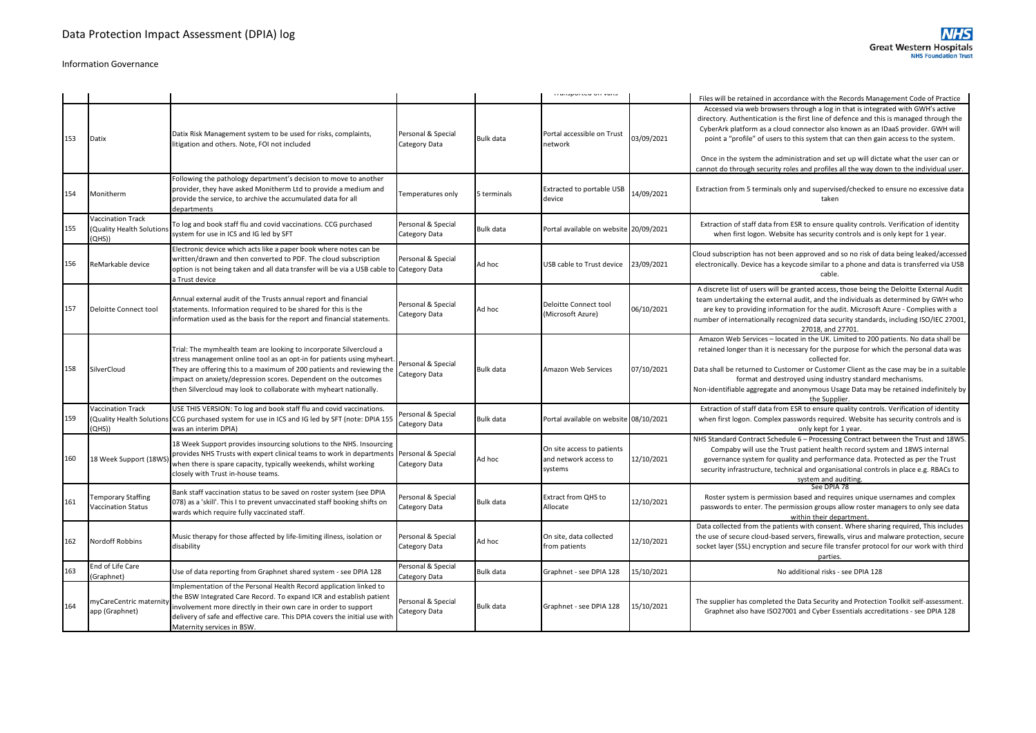**NHS** 

|     |                                                                |                                                                                                                                                                                                                                                                                                                                                             |                                     |                  | mansported on vans                                             |            | Files will be retained in accordance with the Records Management Code of Practice                                                                                                                                                                                                                                                                                                                                                                                                                                                   |
|-----|----------------------------------------------------------------|-------------------------------------------------------------------------------------------------------------------------------------------------------------------------------------------------------------------------------------------------------------------------------------------------------------------------------------------------------------|-------------------------------------|------------------|----------------------------------------------------------------|------------|-------------------------------------------------------------------------------------------------------------------------------------------------------------------------------------------------------------------------------------------------------------------------------------------------------------------------------------------------------------------------------------------------------------------------------------------------------------------------------------------------------------------------------------|
| 153 | Datix                                                          | Datix Risk Management system to be used for risks, complaints,<br>litigation and others. Note, FOI not included                                                                                                                                                                                                                                             | Personal & Special<br>Category Data | Bulk data        | Portal accessible on Trust<br>network                          | 03/09/2021 | Accessed via web browsers through a log in that is integrated with GWH's active<br>directory. Authentication is the first line of defence and this is managed through the<br>CyberArk platform as a cloud connector also known as an IDaaS provider. GWH will<br>point a "profile" of users to this system that can then gain access to the system.<br>Once in the system the administration and set up will dictate what the user can or<br>cannot do through security roles and profiles all the way down to the individual user. |
| 154 | Monitherm                                                      | Following the pathology department's decision to move to another<br>provider, they have asked Monitherm Ltd to provide a medium and<br>provide the service, to archive the accumulated data for all<br>departments                                                                                                                                          | Temperatures only                   | 5 terminals      | <b>Extracted to portable USB</b><br>device                     | 14/09/2021 | Extraction from 5 terminals only and supervised/checked to ensure no excessive data<br>taken                                                                                                                                                                                                                                                                                                                                                                                                                                        |
| 155 | <b>Vaccination Track</b><br>(Quality Health Solutior<br>QHS))  | To log and book staff flu and covid vaccinations. CCG purchased<br>system for use in ICS and IG led by SFT                                                                                                                                                                                                                                                  | Personal & Special<br>Category Data | Bulk data        | Portal available on website 20/09/2021                         |            | Extraction of staff data from ESR to ensure quality controls. Verification of identity<br>when first logon. Website has security controls and is only kept for 1 year.                                                                                                                                                                                                                                                                                                                                                              |
| 156 | ReMarkable device                                              | Electronic device which acts like a paper book where notes can be<br>written/drawn and then converted to PDF. The cloud subscription<br>option is not being taken and all data transfer will be via a USB cable to Category Data<br>a Trust device                                                                                                          | Personal & Special                  | Ad hoc           | USB cable to Trust device                                      | 23/09/2021 | Cloud subscription has not been approved and so no risk of data being leaked/accessed<br>electronically. Device has a keycode similar to a phone and data is transferred via USB<br>cable.                                                                                                                                                                                                                                                                                                                                          |
| 157 | Deloitte Connect tool                                          | Annual external audit of the Trusts annual report and financial<br>statements. Information required to be shared for this is the<br>information used as the basis for the report and financial statements.                                                                                                                                                  | Personal & Special<br>Category Data | Ad hoc           | Deloitte Connect tool<br>(Microsoft Azure)                     | 06/10/2021 | A discrete list of users will be granted access, those being the Deloitte External Audit<br>team undertaking the external audit, and the individuals as determined by GWH who<br>are key to providing information for the audit. Microsoft Azure - Complies with a<br>number of internationally recognized data security standards, including ISO/IEC 27001,<br>27018, and 27701                                                                                                                                                    |
| 158 | SilverCloud                                                    | Trial: The mymhealth team are looking to incorporate Silvercloud a<br>stress management online tool as an opt-in for patients using myheart<br>They are offering this to a maximum of 200 patients and reviewing the<br>impact on anxiety/depression scores. Dependent on the outcomes<br>then Silvercloud may look to collaborate with myheart nationally. | Personal & Special<br>Category Data | <b>Bulk data</b> | Amazon Web Services                                            | 07/10/2021 | Amazon Web Services - located in the UK. Limited to 200 patients. No data shall be<br>retained longer than it is necessary for the purpose for which the personal data was<br>collected for.<br>Data shall be returned to Customer or Customer Client as the case may be in a suitable<br>format and destroyed using industry standard mechanisms.<br>Non-identifiable aggregate and anonymous Usage Data may be retained indefinitely by<br>the Supplier.                                                                          |
| 159 | <b>Vaccination Track</b><br>(Quality Health Solution<br>(QHS)) | USE THIS VERSION: To log and book staff flu and covid vaccinations.<br>CCG purchased system for use in ICS and IG led by SFT (note: DPIA 155<br>was an interim DPIA)                                                                                                                                                                                        | Personal & Special<br>Category Data | Bulk data        | Portal available on website 08/10/2021                         |            | Extraction of staff data from ESR to ensure quality controls. Verification of identity<br>when first logon. Complex passwords required. Website has security controls and is<br>only kept for 1 year.                                                                                                                                                                                                                                                                                                                               |
| 160 | 18 Week Support (18W                                           | 18 Week Support provides insourcing solutions to the NHS. Insourcing<br>provides NHS Trusts with expert clinical teams to work in departments<br>when there is spare capacity, typically weekends, whilst working<br>closely with Trust in-house teams.                                                                                                     | Personal & Special<br>Category Data | Ad hoc           | On site access to patients<br>and network access to<br>systems | 12/10/2021 | NHS Standard Contract Schedule 6 - Processing Contract between the Trust and 18WS.<br>Compaby will use the Trust patient health record system and 18WS internal<br>governance system for quality and performance data. Protected as per the Trust<br>security infrastructure, technical and organisational controls in place e.g. RBACs to<br>system and auditing.                                                                                                                                                                  |
| 161 | Temporary Staffing<br><b>Vaccination Status</b>                | Bank staff vaccination status to be saved on roster system (see DPIA<br>078) as a 'skill'. This I to prevent unvaccinated staff booking shifts on<br>wards which require fully vaccinated staff.                                                                                                                                                            | Personal & Special<br>Category Data | <b>Bulk data</b> | Extract from QHS to<br>Allocate                                | 12/10/2021 | See DPIA 78<br>Roster system is permission based and requires unique usernames and complex<br>passwords to enter. The permission groups allow roster managers to only see data<br>within their department.                                                                                                                                                                                                                                                                                                                          |
| 162 | Nordoff Robbins                                                | Music therapy for those affected by life-limiting illness, isolation or<br>disability                                                                                                                                                                                                                                                                       | Personal & Special<br>Category Data | Ad hoc           | On site, data collected<br>from patients                       | 12/10/2021 | Data collected from the patients with consent. Where sharing required, This includes<br>the use of secure cloud-based servers, firewalls, virus and malware protection, secure<br>socket layer (SSL) encryption and secure file transfer protocol for our work with third<br>parties.                                                                                                                                                                                                                                               |
| 163 | End of Life Care<br>(Graphnet)                                 | Use of data reporting from Graphnet shared system - see DPIA 128                                                                                                                                                                                                                                                                                            | Personal & Special<br>Category Data | <b>Bulk data</b> | Graphnet - see DPIA 128                                        | 15/10/2021 | No additional risks - see DPIA 128                                                                                                                                                                                                                                                                                                                                                                                                                                                                                                  |
| 164 | myCareCentric materni<br>app (Graphnet)                        | Implementation of the Personal Health Record application linked to<br>the BSW Integrated Care Record. To expand ICR and establish patient<br>involvement more directly in their own care in order to support<br>delivery of safe and effective care. This DPIA covers the initial use with<br>Maternity services in BSW.                                    | Personal & Special<br>Category Data | Bulk data        | Graphnet - see DPIA 128                                        | 15/10/2021 | The supplier has completed the Data Security and Protection Toolkit self-assessment.<br>Graphnet also have ISO27001 and Cyber Essentials accreditations - see DPIA 128                                                                                                                                                                                                                                                                                                                                                              |